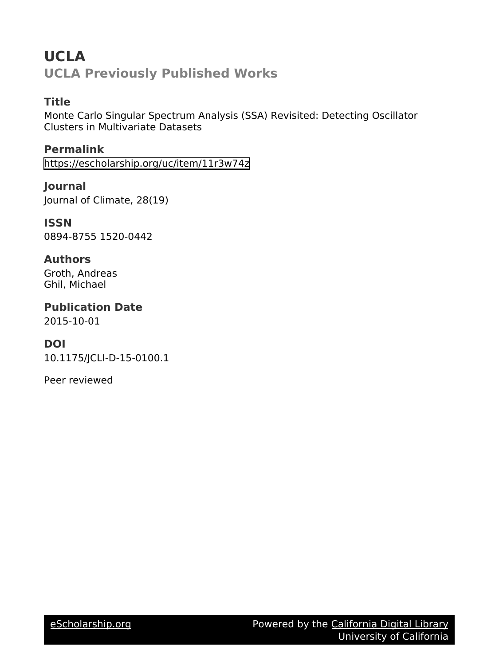# **UCLA UCLA Previously Published Works**

# **Title**

Monte Carlo Singular Spectrum Analysis (SSA) Revisited: Detecting Oscillator Clusters in Multivariate Datasets

**Permalink** <https://escholarship.org/uc/item/11r3w74z>

**Journal** Journal of Climate, 28(19)

**ISSN** 0894-8755 1520-0442

# **Authors**

Groth, Andreas Ghil, Michael

**Publication Date**

2015-10-01

# **DOI**

10.1175/JCLI-D-15-0100.1

Peer reviewed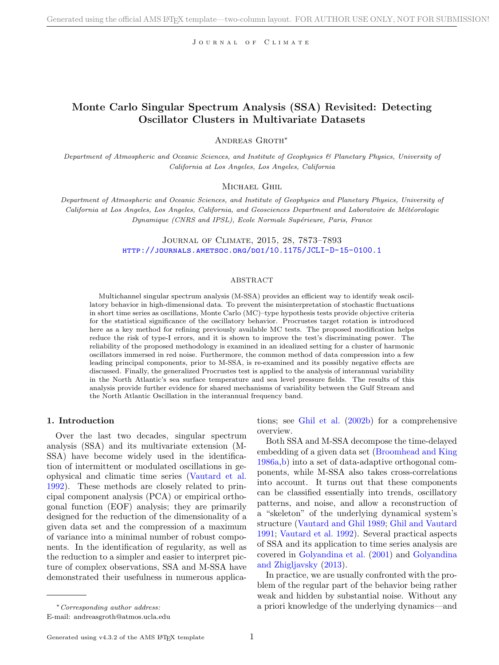JOURNAL OF CLIMATE

### Monte Carlo Singular Spectrum Analysis (SSA) Revisited: Detecting Oscillator Clusters in Multivariate Datasets

Andreas Groth∗

Department of Atmospheric and Oceanic Sciences, and Institute of Geophysics & Planetary Physics, University of California at Los Angeles, Los Angeles, California

### MICHAEL GHIL

Department of Atmospheric and Oceanic Sciences, and Institute of Geophysics and Planetary Physics, University of California at Los Angeles, Los Angeles, California, and Geosciences Department and Laboratoire de Météorologie Dynamique (CNRS and IPSL), Ecole Normale Supérieure, Paris, France

> Journal of Climate, 2015, 28, 7873–7893 <http://journals.ametsoc.org/doi/10.1175/JCLI-D-15-0100.1>

#### ABSTRACT

Multichannel singular spectrum analysis (M-SSA) provides an efficient way to identify weak oscillatory behavior in high-dimensional data. To prevent the misinterpretation of stochastic fluctuations in short time series as oscillations, Monte Carlo (MC)–type hypothesis tests provide objective criteria for the statistical significance of the oscillatory behavior. Procrustes target rotation is introduced here as a key method for refining previously available MC tests. The proposed modification helps reduce the risk of type-I errors, and it is shown to improve the test's discriminating power. The reliability of the proposed methodology is examined in an idealized setting for a cluster of harmonic oscillators immersed in red noise. Furthermore, the common method of data compression into a few leading principal components, prior to M-SSA, is re-examined and its possibly negative effects are discussed. Finally, the generalized Procrustes test is applied to the analysis of interannual variability in the North Atlantic's sea surface temperature and sea level pressure fields. The results of this analysis provide further evidence for shared mechanisms of variability between the Gulf Stream and the North Atlantic Oscillation in the interannual frequency band.

#### 1. Introduction

Over the last two decades, singular spectrum analysis (SSA) and its multivariate extension (M-SSA) have become widely used in the identification of intermittent or modulated oscillations in geophysical and climatic time series [\(Vautard et al.](#page-21-0) [1992\)](#page-21-0). These methods are closely related to principal component analysis (PCA) or empirical orthogonal function (EOF) analysis; they are primarily designed for the reduction of the dimensionality of a given data set and the compression of a maximum of variance into a minimal number of robust components. In the identification of regularity, as well as the reduction to a simpler and easier to interpret picture of complex observations, SSA and M-SSA have demonstrated their usefulness in numerous applica-

tions; see [Ghil et al.](#page-21-1) [\(2002b\)](#page-21-1) for a comprehensive overview.

Both SSA and M-SSA decompose the time-delayed embedding of a given data set [\(Broomhead and King](#page-20-0) [1986a,](#page-20-0)[b\)](#page-20-1) into a set of data-adaptive orthogonal components, while M-SSA also takes cross-correlations into account. It turns out that these components can be classified essentially into trends, oscillatory patterns, and noise, and allow a reconstruction of a "skeleton" of the underlying dynamical system's structure [\(Vautard and Ghil](#page-21-2) [1989;](#page-21-2) [Ghil and Vautard](#page-21-3) [1991;](#page-21-3) [Vautard et al.](#page-21-0) [1992\)](#page-21-0). Several practical aspects of SSA and its application to time series analysis are covered in [Golyandina et al.](#page-21-4) [\(2001\)](#page-21-4) and [Golyandina](#page-21-5) [and Zhigljavsky](#page-21-5) [\(2013\)](#page-21-5).

In practice, we are usually confronted with the problem of the regular part of the behavior being rather weak and hidden by substantial noise. Without any a priori knowledge of the underlying dynamics—and

<sup>∗</sup>Corresponding author address:

E-mail: andreasgroth@atmos.ucla.edu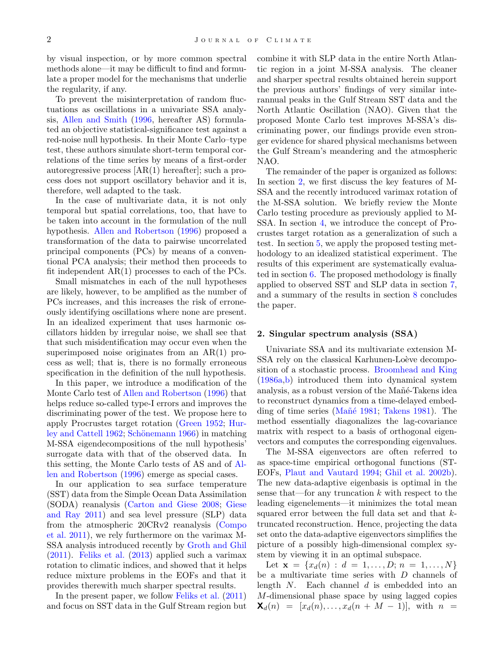by visual inspection, or by more common spectral methods alone—it may be difficult to find and formulate a proper model for the mechanisms that underlie the regularity, if any.

To prevent the misinterpretation of random fluctuations as oscillations in a univariate SSA analysis, [Allen and Smith](#page-20-2) [\(1996,](#page-20-2) hereafter AS) formulated an objective statistical-significance test against a red-noise null hypothesis. In their Monte Carlo–type test, these authors simulate short-term temporal correlations of the time series by means of a first-order autoregressive process [AR(1) hereafter]; such a process does not support oscillatory behavior and it is, therefore, well adapted to the task.

In the case of multivariate data, it is not only temporal but spatial correlations, too, that have to be taken into account in the formulation of the null hypothesis. [Allen and Robertson](#page-20-3) [\(1996\)](#page-20-3) proposed a transformation of the data to pairwise uncorrelated principal components (PCs) by means of a conventional PCA analysis; their method then proceeds to fit independent AR(1) processes to each of the PCs.

Small mismatches in each of the null hypotheses are likely, however, to be amplified as the number of PCs increases, and this increases the risk of erroneously identifying oscillations where none are present. In an idealized experiment that uses harmonic oscillators hidden by irregular noise, we shall see that that such misidentification may occur even when the superimposed noise originates from an AR(1) process as well; that is, there is no formally erroneous specification in the definition of the null hypothesis.

In this paper, we introduce a modification of the Monte Carlo test of [Allen and Robertson](#page-20-3) [\(1996\)](#page-20-3) that helps reduce so-called type-I errors and improves the discriminating power of the test. We propose here to apply Procrustes target rotation [\(Green](#page-21-6) [1952;](#page-21-6) [Hur](#page-21-7)[ley and Cattell](#page-21-7) [1962;](#page-21-7) Schönemann [1966\)](#page-21-8) in matching M-SSA eigendecompositions of the null hypothesis' surrogate data with that of the observed data. In this setting, the Monte Carlo tests of AS and of [Al](#page-20-3)[len and Robertson](#page-20-3) [\(1996\)](#page-20-3) emerge as special cases.

In our application to sea surface temperature (SST) data from the Simple Ocean Data Assimilation (SODA) reanalysis [\(Carton and Giese](#page-20-4) [2008;](#page-20-4) [Giese](#page-21-9) [and Ray](#page-21-9) [2011\)](#page-21-9) and sea level pressure (SLP) data from the atmospheric 20CRv2 reanalysis [\(Compo](#page-20-5) [et al.](#page-20-5) [2011\)](#page-20-5), we rely furthermore on the varimax M-SSA analysis introduced recently by [Groth and Ghil](#page-21-10) [\(2011\)](#page-21-10). [Feliks et al.](#page-21-11) [\(2013\)](#page-21-11) applied such a varimax rotation to climatic indices, and showed that it helps reduce mixture problems in the EOFs and that it provides therewith much sharper spectral results.

In the present paper, we follow [Feliks et al.](#page-20-6) [\(2011\)](#page-20-6) and focus on SST data in the Gulf Stream region but combine it with SLP data in the entire North Atlantic region in a joint M-SSA analysis. The cleaner and sharper spectral results obtained herein support the previous authors' findings of very similar interannual peaks in the Gulf Stream SST data and the North Atlantic Oscillation (NAO). Given that the proposed Monte Carlo test improves M-SSA's discriminating power, our findings provide even stronger evidence for shared physical mechanisms between the Gulf Stream's meandering and the atmospheric NAO.

The remainder of the paper is organized as follows: In section [2,](#page-2-0) we first discuss the key features of M-SSA and the recently introduced varimax rotation of the M-SSA solution. We briefly review the Monte Carlo testing procedure as previously applied to M-SSA. In section [4,](#page-5-0) we introduce the concept of Procrustes target rotation as a generalization of such a test. In section [5,](#page-8-0) we apply the proposed testing methodology to an idealized statistical experiment. The results of this experiment are systematically evaluated in section  $6$ . The proposed methodology is finally applied to observed SST and SLP data in section [7,](#page-15-0) and a summary of the results in section [8](#page-17-0) concludes the paper.

#### <span id="page-2-0"></span>2. Singular spectrum analysis (SSA)

Univariate SSA and its multivariate extension M-SSA rely on the classical Karhunen-Loève decomposition of a stochastic process. [Broomhead and King](#page-20-0) [\(1986a,](#page-20-0)[b\)](#page-20-1) introduced them into dynamical system analysis, as a robust version of the Mañé-Takens idea to reconstruct dynamics from a time-delayed embed-ding of time series (Mañé [1981;](#page-21-12) [Takens](#page-21-13) [1981\)](#page-21-13). The method essentially diagonalizes the lag-covariance matrix with respect to a basis of orthogonal eigenvectors and computes the corresponding eigenvalues.

The M-SSA eigenvectors are often referred to as space-time empirical orthogonal functions (ST-EOFs, [Plaut and Vautard](#page-21-14) [1994;](#page-21-14) [Ghil et al.](#page-21-1) [2002b\)](#page-21-1). The new data-adaptive eigenbasis is optimal in the sense that—for any truncation  $k$  with respect to the leading eigenelements—it minimizes the total mean squared error between the full data set and that ktruncated reconstruction. Hence, projecting the data set onto the data-adaptive eigenvectors simplifies the picture of a possibly high-dimensional complex system by viewing it in an optimal subspace.

Let  $\mathbf{x} = \{x_d(n) : d = 1, \ldots, D; n = 1, \ldots, N\}$ be a multivariate time series with D channels of length  $N$ . Each channel  $d$  is embedded into an M-dimensional phase space by using lagged copies  $\mathbf{X}_d(n) = [x_d(n), \ldots, x_d(n + M - 1)],$  with  $n =$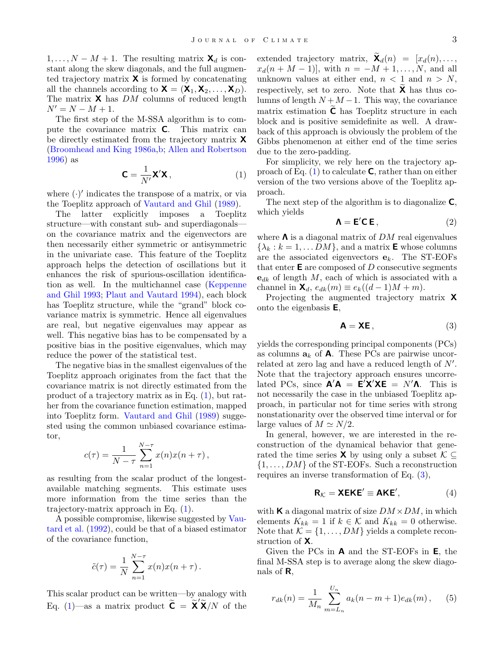$1, \ldots, N - M + 1$ . The resulting matrix  $\mathbf{X}_d$  is constant along the skew diagonals, and the full augmented trajectory matrix  $\boldsymbol{\mathsf{X}}$  is formed by concatenating all the channels according to  $\mathbf{X} = (\mathbf{X}_1, \mathbf{X}_2, \dots, \mathbf{X}_D)$ . The matrix  $\boldsymbol{\mathsf{X}}$  has DM columns of reduced length  $N' = N - M + 1.$ 

The first step of the M-SSA algorithm is to compute the covariance matrix C. This matrix can be directly estimated from the trajectory matrix X [\(Broomhead and King](#page-20-0) [1986a,](#page-20-0)[b;](#page-20-1) [Allen and Robertson](#page-20-3) [1996\)](#page-20-3) as

<span id="page-3-0"></span>
$$
\mathbf{C} = \frac{1}{N'} \mathbf{X}' \mathbf{X},\tag{1}
$$

where  $(\cdot)'$  indicates the transpose of a matrix, or via the Toeplitz approach of [Vautard and Ghil](#page-21-2) [\(1989\)](#page-21-2).

The latter explicitly imposes a Toeplitz structure—with constant sub- and superdiagonals on the covariance matrix and the eigenvectors are then necessarily either symmetric or antisymmetric in the univariate case. This feature of the Toeplitz approach helps the detection of oscillations but it enhances the risk of spurious-oscillation identification as well. In the multichannel case [\(Keppenne](#page-21-15) [and Ghil](#page-21-15) [1993;](#page-21-15) [Plaut and Vautard](#page-21-14) [1994\)](#page-21-14), each block has Toeplitz structure, while the "grand" block covariance matrix is symmetric. Hence all eigenvalues are real, but negative eigenvalues may appear as well. This negative bias has to be compensated by a positive bias in the positive eigenvalues, which may reduce the power of the statistical test.

The negative bias in the smallest eigenvalues of the Toeplitz approach originates from the fact that the covariance matrix is not directly estimated from the product of a trajectory matrix as in Eq. [\(1\)](#page-3-0), but rather from the covariance function estimation, mapped into Toeplitz form. [Vautard and Ghil](#page-21-2) [\(1989\)](#page-21-2) suggested using the common unbiased covariance estimator,

$$
c(\tau) = \frac{1}{N - \tau} \sum_{n=1}^{N - \tau} x(n) x(n + \tau),
$$

as resulting from the scalar product of the longestavailable matching segments. This estimate uses more information from the time series than the trajectory-matrix approach in Eq. [\(1\)](#page-3-0).

A possible compromise, likewise suggested by [Vau](#page-21-0)[tard et al.](#page-21-0) [\(1992\)](#page-21-0), could be that of a biased estimator of the covariance function,

$$
\tilde{c}(\tau) = \frac{1}{N} \sum_{n=1}^{N-\tau} x(n)x(n+\tau).
$$

This scalar product can be written—by analogy with Eq. [\(1\)](#page-3-0)—as a matrix product  $\widetilde{\mathbf{C}} = \widetilde{\mathbf{X}}' \widetilde{\mathbf{X}}/N$  of the

extended trajectory matrix,  $\mathbf{X}_d(n) = [x_d(n), \dots,$  $x_d(n + M - 1)$ , with  $n = -M + 1, ..., N$ , and all unknown values at either end,  $n < 1$  and  $n > N$ , respectively, set to zero. Note that  $X$  has thus columns of length  $N + M - 1$ . This way, the covariance matrix estimation  $\tilde{\mathsf{C}}$  has Toeplitz structure in each block and is positive semidefinite as well. A drawback of this approach is obviously the problem of the Gibbs phenomenon at either end of the time series due to the zero-padding.

For simplicity, we rely here on the trajectory approach of Eq.  $(1)$  to calculate **C**, rather than on either version of the two versions above of the Toeplitz approach.

The next step of the algorithm is to diagonalize  $C$ , which yields

<span id="page-3-2"></span>
$$
\mathbf{\Lambda} = \mathbf{E}' \mathbf{C} \, \mathbf{E} \,, \tag{2}
$$

where  $\Lambda$  is a diagonal matrix of  $DM$  real eigenvalues  $\{\lambda_k : k = 1, \ldots DM\}$ , and a matrix **E** whose columns are the associated eigenvectors  $e_k$ . The ST-EOFs that enter  $E$  are composed of D consecutive segments  $e_{dk}$  of length M, each of which is associated with a channel in  $\mathbf{X}_d$ ,  $e_{dk}(m) \equiv e_k((d-1)M + m)$ .

Projecting the augmented trajectory matrix X onto the eigenbasis E,

<span id="page-3-1"></span>
$$
\mathbf{A} = \mathbf{X} \mathbf{E},\tag{3}
$$

yields the corresponding principal components (PCs) as columns  $a_k$  of **A**. These PCs are pairwise uncorrelated at zero lag and have a reduced length of  $N'$ . Note that the trajectory approach ensures uncorrelated PCs, since  $\mathbf{A}'\mathbf{A} = \mathbf{\hat{E}}'\mathbf{\hat{X}}'\mathbf{X}\mathbf{E} = N'\mathbf{\hat{\Lambda}}$ . This is not necessarily the case in the unbiased Toeplitz approach, in particular not for time series with strong nonstationarity over the observed time interval or for large values of  $M \simeq N/2$ .

In general, however, we are interested in the reconstruction of the dynamical behavior that generated the time series **X** by using only a subset  $\mathcal{K} \subseteq$  $\{1, \ldots, DM\}$  of the ST-EOFs. Such a reconstruction requires an inverse transformation of Eq. [\(3\)](#page-3-1),

$$
\mathbf{R}_{\mathcal{K}} = \mathbf{X} \mathbf{E} \mathbf{K} \mathbf{E}' \equiv \mathbf{A} \mathbf{K} \mathbf{E}', \tag{4}
$$

with **K** a diagonal matrix of size  $DM \times DM$ , in which elements  $K_{kk} = 1$  if  $k \in \mathcal{K}$  and  $K_{kk} = 0$  otherwise. Note that  $\mathcal{K} = \{1, \ldots, DM\}$  yields a complete reconstruction of X.

Given the PCs in A and the ST-EOFs in E, the final M-SSA step is to average along the skew diagonals of  $\mathsf{R}$ .

$$
r_{dk}(n) = \frac{1}{M_n} \sum_{m=L_n}^{U_n} a_k(n-m+1)e_{dk}(m), \quad (5)
$$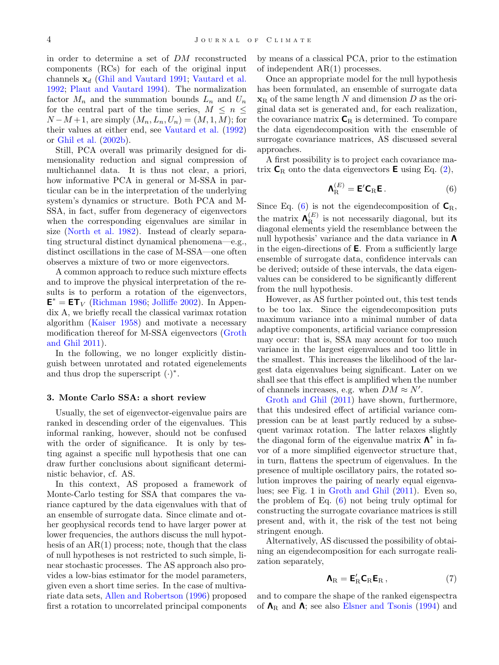in order to determine a set of DM reconstructed components (RCs) for each of the original input channels  $x_d$  [\(Ghil and Vautard](#page-21-3) [1991;](#page-21-3) [Vautard et al.](#page-21-0) [1992;](#page-21-0) [Plaut and Vautard](#page-21-14) [1994\)](#page-21-14). The normalization factor  $M_n$  and the summation bounds  $L_n$  and  $U_n$ for the central part of the time series,  $M \leq n \leq$  $N-M+1$ , are simply  $(M_n, L_n, U_n) = (M, 1, M)$ ; for their values at either end, see [Vautard et al.](#page-21-0) [\(1992\)](#page-21-0) or [Ghil et al.](#page-21-1) [\(2002b\)](#page-21-1).

Still, PCA overall was primarily designed for dimensionality reduction and signal compression of multichannel data. It is thus not clear, a priori, how informative PCA in general or M-SSA in particular can be in the interpretation of the underlying system's dynamics or structure. Both PCA and M-SSA, in fact, suffer from degeneracy of eigenvectors when the corresponding eigenvalues are similar in size [\(North et al.](#page-21-16) [1982\)](#page-21-16). Instead of clearly separating structural distinct dynamical phenomena—e.g., distinct oscillations in the case of M-SSA—one often observes a mixture of two or more eigenvectors.

A common approach to reduce such mixture effects and to improve the physical interpretation of the results is to perform a rotation of the eigenvectors,  $E^* = ET_V$  [\(Richman](#page-21-17) [1986;](#page-21-17) [Jolliffe](#page-21-18) [2002\)](#page-21-18). In Appendix A, we briefly recall the classical varimax rotation algorithm [\(Kaiser](#page-21-19) [1958\)](#page-21-19) and motivate a necessary modification thereof for M-SSA eigenvectors [\(Groth](#page-21-10) [and Ghil](#page-21-10) [2011\)](#page-21-10).

In the following, we no longer explicitly distinguish between unrotated and rotated eigenelements and thus drop the superscript  $(·)^*$ .

#### <span id="page-4-2"></span>3. Monte Carlo SSA: a short review

Usually, the set of eigenvector-eigenvalue pairs are ranked in descending order of the eigenvalues. This informal ranking, however, should not be confused with the order of significance. It is only by testing against a specific null hypothesis that one can draw further conclusions about significant deterministic behavior, cf. AS.

In this context, AS proposed a framework of Monte-Carlo testing for SSA that compares the variance captured by the data eigenvalues with that of an ensemble of surrogate data. Since climate and other geophysical records tend to have larger power at lower frequencies, the authors discuss the null hypothesis of an  $AR(1)$  process; note, though that the class of null hypotheses is not restricted to such simple, linear stochastic processes. The AS approach also provides a low-bias estimator for the model parameters, given even a short time series. In the case of multivariate data sets, [Allen and Robertson](#page-20-3) [\(1996\)](#page-20-3) proposed first a rotation to uncorrelated principal components

by means of a classical PCA, prior to the estimation of independent AR(1) processes.

Once an appropriate model for the null hypothesis has been formulated, an ensemble of surrogate data  $\mathbf{x}_R$  of the same length N and dimension D as the original data set is generated and, for each realization, the covariance matrix  $C_R$  is determined. To compare the data eigendecomposition with the ensemble of surrogate covariance matrices, AS discussed several approaches.

A first possibility is to project each covariance matrix  $C_R$  onto the data eigenvectors **E** using Eq. [\(2\)](#page-3-2),

<span id="page-4-0"></span>
$$
\mathbf{\Lambda}_{\mathrm{R}}^{(E)} = \mathbf{E}' \mathbf{C}_{\mathrm{R}} \mathbf{E} \,. \tag{6}
$$

Since Eq. [\(6\)](#page-4-0) is not the eigendecomposition of  $\mathsf{C}_{\mathrm{R}},$ the matrix  $\mathbf{\Lambda}_{\text{B}}^{(E)}$  $R<sup>(E)</sup>$  is not necessarily diagonal, but its diagonal elements yield the resemblance between the null hypothesis' variance and the data variance in Λ in the eigen-directions of  $E$ . From a sufficiently large ensemble of surrogate data, confidence intervals can be derived; outside of these intervals, the data eigenvalues can be considered to be significantly different from the null hypothesis.

However, as AS further pointed out, this test tends to be too lax. Since the eigendecomposition puts maximum variance into a minimal number of data adaptive components, artificial variance compression may occur: that is, SSA may account for too much variance in the largest eigenvalues and too little in the smallest. This increases the likelihood of the largest data eigenvalues being significant. Later on we shall see that this effect is amplified when the number of channels increases, e.g. when  $DM \approx N'$ .

[Groth and Ghil](#page-21-10) [\(2011\)](#page-21-10) have shown, furthermore, that this undesired effect of artificial variance compression can be at least partly reduced by a subsequent varimax rotation. The latter relaxes slightly the diagonal form of the eigenvalue matrix  $\Lambda^*$  in favor of a more simplified eigenvector structure that, in turn, flattens the spectrum of eigenvalues. In the presence of multiple oscillatory pairs, the rotated solution improves the pairing of nearly equal eigenvalues; see Fig. 1 in [Groth and Ghil](#page-21-10) [\(2011\)](#page-21-10). Even so, the problem of Eq. [\(6\)](#page-4-0) not being truly optimal for constructing the surrogate covariance matrices is still present and, with it, the risk of the test not being stringent enough.

Alternatively, AS discussed the possibility of obtaining an eigendecomposition for each surrogate realization separately,

<span id="page-4-1"></span>
$$
\mathbf{\Lambda}_{\mathrm{R}} = \mathbf{E}_{\mathrm{R}}^{\prime} \mathbf{C}_{\mathrm{R}} \mathbf{E}_{\mathrm{R}} , \qquad (7)
$$

and to compare the shape of the ranked eigenspectra of  $\Lambda_R$  and  $\Lambda$ ; see also [Elsner and Tsonis](#page-20-7) [\(1994\)](#page-20-7) and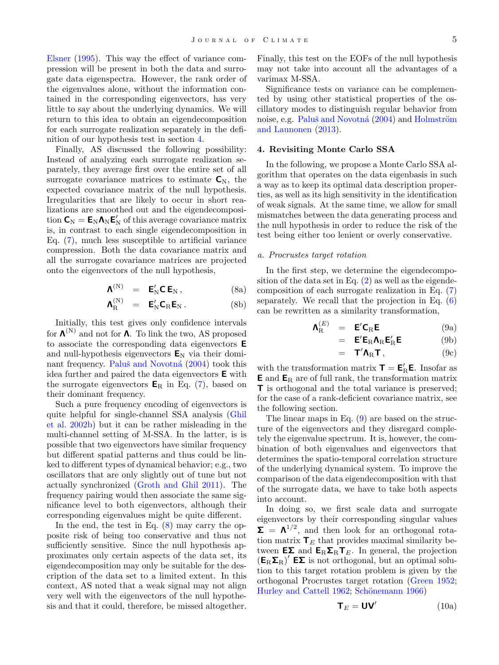[Elsner](#page-20-8) [\(1995\)](#page-20-8). This way the effect of variance compression will be present in both the data and surrogate data eigenspectra. However, the rank order of the eigenvalues alone, without the information contained in the corresponding eigenvectors, has very little to say about the underlying dynamics. We will return to this idea to obtain an eigendecomposition for each surrogate realization separately in the definition of our hypothesis test in section [4.](#page-5-0)

Finally, AS discussed the following possibility: Instead of analyzing each surrogate realization separately, they average first over the entire set of all surrogate covariance matrices to estimate  $C_N$ , the expected covariance matrix of the null hypothesis. Irregularities that are likely to occur in short realizations are smoothed out and the eigendecomposition  $C_N = E_N \Lambda_N E'_N$  of this average covariance matrix is, in contrast to each single eigendecomposition in Eq. [\(7\)](#page-4-1), much less susceptible to artificial variance compression. Both the data covariance matrix and all the surrogate covariance matrices are projected onto the eigenvectors of the null hypothesis,

$$
\Lambda^{(N)} = E'_N C E_N , \qquad (8a)
$$

$$
\textbf{A}_\mathrm{R}^{(\mathrm{N})} \ \ = \ \ \textbf{E}_\mathrm{N}^\prime \textbf{C}_\mathrm{R} \textbf{E}_\mathrm{N} \,. \eqno{(8b)}
$$

Initially, this test gives only confidence intervals for  $\Lambda^{(N)}$  and not for  $\Lambda$ . To link the two, AS proposed to associate the corresponding data eigenvectors E and null-hypothesis eigenvectors  $E_N$  via their domi-nant frequency. Paluš and Novotná [\(2004\)](#page-21-20) took this idea further and paired the data eigenvectors E with the surrogate eigenvectors  $E_R$  in Eq. [\(7\)](#page-4-1), based on their dominant frequency.

Such a pure frequency encoding of eigenvectors is quite helpful for single-channel SSA analysis [\(Ghil](#page-21-1) [et al.](#page-21-1) [2002b\)](#page-21-1) but it can be rather misleading in the multi-channel setting of M-SSA. In the latter, is is possible that two eigenvectors have similar frequency but different spatial patterns and thus could be linked to different types of dynamical behavior; e.g., two oscillators that are only slightly out of tune but not actually synchronized [\(Groth and Ghil](#page-21-10) [2011\)](#page-21-10). The frequency pairing would then associate the same significance level to both eigenvectors, although their corresponding eigenvalues might be quite different.

In the end, the test in Eq. [\(8\)](#page-5-1) may carry the opposite risk of being too conservative and thus not sufficiently sensitive. Since the null hypothesis approximates only certain aspects of the data set, its eigendecomposition may only be suitable for the description of the data set to a limited extent. In this context, AS noted that a weak signal may not align very well with the eigenvectors of the null hypothesis and that it could, therefore, be missed altogether.

Finally, this test on the EOFs of the null hypothesis may not take into account all the advantages of a varimax M-SSA.

Significance tests on variance can be complemented by using other statistical properties of the oscillatory modes to distinguish regular behavior from noise, e.g. Paluš and Novotná [\(2004\)](#page-21-20) and Holmström [and Launonen](#page-21-21) [\(2013\)](#page-21-21).

### <span id="page-5-0"></span>4. Revisiting Monte Carlo SSA

In the following, we propose a Monte Carlo SSA algorithm that operates on the data eigenbasis in such a way as to keep its optimal data description properties, as well as its high sensitivity in the identification of weak signals. At the same time, we allow for small mismatches between the data generating process and the null hypothesis in order to reduce the risk of the test being either too lenient or overly conservative.

#### a. Procrustes target rotation

<span id="page-5-1"></span>In the first step, we determine the eigendecomposition of the data set in Eq.  $(2)$  as well as the eigendecomposition of each surrogate realization in Eq. [\(7\)](#page-4-1) separately. We recall that the projection in Eq. [\(6\)](#page-4-0) can be rewritten as a similarity transformation,

$$
\mathbf{\Lambda}_{\mathrm{R}}^{(E)} = \mathbf{E}' \mathbf{C}_{\mathrm{R}} \mathbf{E} \tag{9a}
$$

<span id="page-5-2"></span>
$$
= \mathbf{E}' \mathbf{E}_R \mathbf{\Lambda}_R \mathbf{E}_R' \mathbf{E}
$$
 (9b)

$$
= \mathbf{T}' \mathbf{\Lambda}_{R} \mathbf{T}, \qquad (9c)
$$

with the transformation matrix  $\mathbf{T} = \mathbf{E}'_{R} \mathbf{E}$ . Insofar as  $E$  and  $E_R$  are of full rank, the transformation matrix T is orthogonal and the total variance is preserved; for the case of a rank-deficient covariance matrix, see the following section.

The linear maps in Eq. [\(9\)](#page-5-2) are based on the structure of the eigenvectors and they disregard completely the eigenvalue spectrum. It is, however, the combination of both eigenvalues and eigenvectors that determines the spatio-temporal correlation structure of the underlying dynamical system. To improve the comparison of the data eigendecomposition with that of the surrogate data, we have to take both aspects into account.

In doing so, we first scale data and surrogate eigenvectors by their corresponding singular values  $\Sigma = \Lambda^{1/2}$ , and then look for an orthogonal rotation matrix  $\mathbf{T}_E$  that provides maximal similarity between  $E\Sigma$  and  $E_R\Sigma_R T_E$ . In general, the projection  $(E_R \Sigma_R)'$  **E** $\Sigma$  is not orthogonal, but an optimal solution to this target rotation problem is given by the orthogonal Procrustes target rotation [\(Green](#page-21-6) [1952;](#page-21-6) [Hurley and Cattell](#page-21-7) [1962;](#page-21-7) Schönemann [1966\)](#page-21-8)

<span id="page-5-3"></span>
$$
\mathbf{T}_E = \mathbf{U}\mathbf{V}'
$$
 (10a)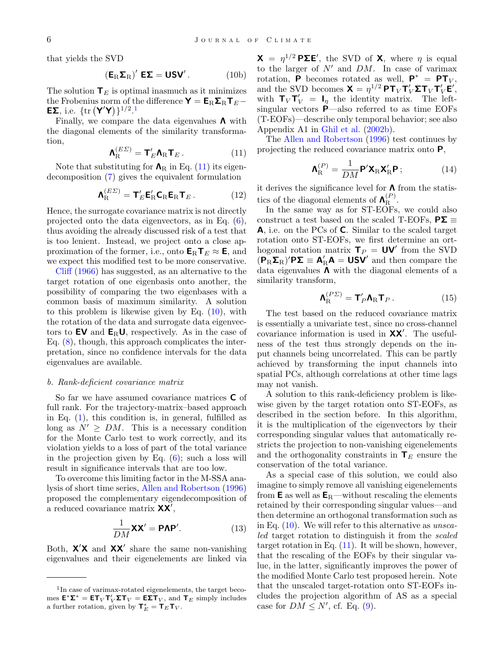that yields the SVD

$$
\left(\mathbf{E}_{R}\mathbf{\Sigma}_{R}\right)' \mathbf{E}\mathbf{\Sigma} = \mathbf{U}\mathbf{S}\mathbf{V}'.
$$
 (10b)

The solution  $T_E$  is optimal inasmuch as it minimizes the Frobenius norm of the difference  $\mathbf{Y} = \mathbf{E}_{\mathrm{R}} \mathbf{\Sigma}_{\mathrm{R}} \mathbf{T}_{E} -$ **EΣ**, i.e.  $\{\text{tr} (\mathbf{Y}'\mathbf{Y})\}^{1/2}$  $\{\text{tr} (\mathbf{Y}'\mathbf{Y})\}^{1/2}$  $\{\text{tr} (\mathbf{Y}'\mathbf{Y})\}^{1/2}$ .<sup>1</sup>

Finally, we compare the data eigenvalues  $\Lambda$  with the diagonal elements of the similarity transformation,

<span id="page-6-1"></span>
$$
\mathbf{\Lambda}_{\mathrm{R}}^{(E\Sigma)} = \mathbf{T}_{E}' \mathbf{\Lambda}_{\mathrm{R}} \mathbf{T}_{E} . \tag{11}
$$

Note that substituting for  $\Lambda_R$  in Eq. [\(11\)](#page-6-1) its eigendecomposition [\(7\)](#page-4-1) gives the equivalent formulation

<span id="page-6-3"></span>
$$
\mathbf{\Lambda}_{\mathrm{R}}^{(E\Sigma)} = \mathbf{T}_{E}' \mathbf{E}_{\mathrm{R}}' \mathbf{C}_{\mathrm{R}} \mathbf{E}_{\mathrm{R}} \mathbf{T}_{E}. \qquad (12)
$$

Hence, the surrogate covariance matrix is not directly projected onto the data eigenvectors, as in Eq. [\(6\)](#page-4-0), thus avoiding the already discussed risk of a test that is too lenient. Instead, we project onto a close approximation of the former, i.e., onto  $\mathbf{E}_{\text{R}}\mathbf{T}_E \approx \mathbf{E}$ , and we expect this modified test to be more conservative.

[Cliff](#page-20-9) [\(1966\)](#page-20-9) has suggested, as an alternative to the target rotation of one eigenbasis onto another, the possibility of comparing the two eigenbases with a common basis of maximum similarity. A solution to this problem is likewise given by Eq. [\(10\)](#page-5-3), with the rotation of the data and surrogate data eigenvectors to  $EV$  and  $E_RU$ , respectively. As in the case of Eq.  $(8)$ , though, this approach complicates the interpretation, since no confidence intervals for the data eigenvalues are available.

#### b. Rank-deficient covariance matrix

So far we have assumed covariance matrices C of full rank. For the trajectory-matrix–based approach in Eq.  $(1)$ , this condition is, in general, fulfilled as long as  $N' \geq DM$ . This is a necessary condition for the Monte Carlo test to work correctly, and its violation yields to a loss of part of the total variance in the projection given by Eq. [\(6\)](#page-4-0); such a loss will result in significance intervals that are too low.

To overcome this limiting factor in the M-SSA analysis of short time series, [Allen and Robertson](#page-20-3) [\(1996\)](#page-20-3) proposed the complementary eigendecomposition of a reduced covariance matrix  $XX'$ ,

$$
\frac{1}{DM} \mathbf{X} \mathbf{X}' = \mathbf{P} \mathbf{\Lambda} \mathbf{P}'. \tag{13}
$$

Both,  $X'X$  and  $XX'$  share the same non-vanishing eigenvalues and their eigenelements are linked via

 $X = \eta^{1/2} P \Sigma E'$ , the SVD of X, where  $\eta$  is equal to the larger of  $N'$  and  $DM$ . In case of varimax rotation, **P** becomes rotated as well,  $P^* = PT_V$ , and the SVD becomes  $\mathbf{X} = \eta^{1/2} \mathbf{P} \mathbf{T}_V \mathbf{T}_V' \mathbf{\Sigma} \mathbf{T}_V \mathbf{T}_V' \mathbf{E}',$ with  $T_V T'_V = I_\eta$  the identity matrix. The leftsingular vectors P—also referred to as time EOFs (T-EOFs)—describe only temporal behavior; see also Appendix A1 in [Ghil et al.](#page-21-1) [\(2002b\)](#page-21-1).

The [Allen and Robertson](#page-20-3) [\(1996\)](#page-20-3) test continues by projecting the reduced covariance matrix onto P,

<span id="page-6-2"></span>
$$
\mathbf{\Lambda}_{\mathrm{R}}^{(P)} = \frac{1}{DM} \mathbf{P}' \mathbf{X}_{\mathrm{R}} \mathbf{X}_{\mathrm{R}}' \mathbf{P} ;
$$
 (14)

it derives the significance level for  $\Lambda$  from the statistics of the diagonal elements of  $\Lambda_{\rm R}^{(P)}$  $R^{(r)}$ .

In the same way as for ST-EOFs, we could also construct a test based on the scaled T-EOFs,  $P\Sigma \equiv$ A, i.e. on the PCs of C. Similar to the scaled target rotation onto ST-EOFs, we first determine an orthogonal rotation matrix  $\mathbf{T}_P = \mathbf{UV}'$  from the SVD  $(P_R \Sigma_R)'$ **P** $\Sigma \equiv A'_R A = USV'$  and then compare the data eigenvalues  $\Lambda$  with the diagonal elements of a similarity transform,

<span id="page-6-4"></span>
$$
\mathbf{\Lambda}_{\mathrm{R}}^{(P\varSigma)} = \mathbf{T}_{P}' \mathbf{\Lambda}_{\mathrm{R}} \mathbf{T}_{P} . \tag{15}
$$

The test based on the reduced covariance matrix is essentially a univariate test, since no cross-channel covariance information is used in  $XX'$ . The usefulness of the test thus strongly depends on the input channels being uncorrelated. This can be partly achieved by transforming the input channels into spatial PCs, although correlations at other time lags may not vanish.

A solution to this rank-deficiency problem is likewise given by the target rotation onto ST-EOFs, as described in the section before. In this algorithm, it is the multiplication of the eigenvectors by their corresponding singular values that automatically restricts the projection to non-vanishing eigenelements and the orthogonality constraints in  $T_E$  ensure the conservation of the total variance.

As a special case of this solution, we could also imagine to simply remove all vanishing eigenelements from  $E$  as well as  $E_R$ —without rescaling the elements retained by their corresponding singular values—and then determine an orthogonal transformation such as in Eq.  $(10)$ . We will refer to this alternative as unscaled target rotation to distinguish it from the scaled target rotation in Eq.  $(11)$ . It will be shown, however, that the rescaling of the EOFs by their singular value, in the latter, significantly improves the power of the modified Monte Carlo test proposed herein. Note that the unscaled target-rotation onto ST-EOFs includes the projection algorithm of AS as a special case for  $DM \leq N'$ , cf. Eq. [\(9\)](#page-5-2).

<span id="page-6-0"></span><sup>&</sup>lt;sup>1</sup>In case of varimax-rotated eigenelements, the target becomes  $\mathbf{E}^* \mathbf{\Sigma}^* = \mathbf{E} \mathbf{T}_V \mathbf{T}_V' \mathbf{\Sigma} \mathbf{T}_V = \mathbf{E} \mathbf{\Sigma} \mathbf{T}_V$ , and  $\mathbf{T}_E$  simply includes a further rotation, given by  $\mathbf{T}_E^* = \mathbf{T}_E \mathbf{T}_V$ .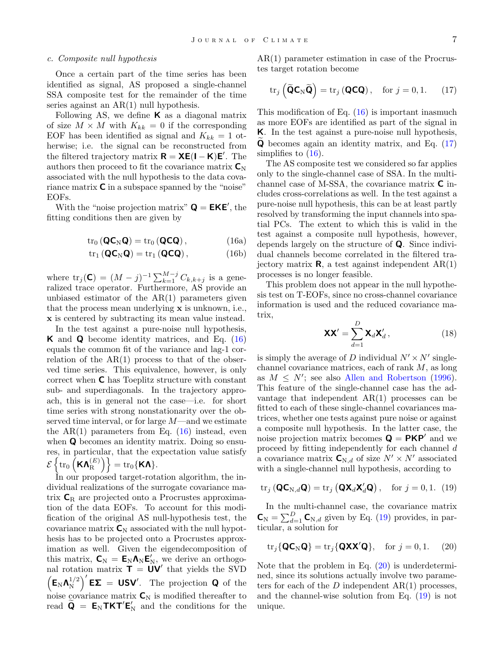#### c. Composite null hypothesis

Once a certain part of the time series has been identified as signal, AS proposed a single-channel SSA composite test for the remainder of the time series against an AR(1) null hypothesis.

Following AS, we define  $\boldsymbol{K}$  as a diagonal matrix of size  $M \times M$  with  $K_{kk} = 0$  if the corresponding EOF has been identified as signal and  $K_{kk} = 1$  otherwise; i.e. the signal can be reconstructed from the filtered trajectory matrix  $\mathbf{R} = \mathbf{X}\mathbf{E}(\mathbf{I} - \mathbf{K})\mathbf{E}'$ . The authors then proceed to fit the covariance matrix  $C_N$ associated with the null hypothesis to the data covariance matrix C in a subspace spanned by the "noise" EOFs.

With the "noise projection matrix"  $\mathbf{Q} = \mathbf{EKE}'$ , the fitting conditions then are given by

$$
\mathrm{tr}_{0}\left(\mathbf{Q}\mathbf{C}_{N}\mathbf{Q}\right)=\mathrm{tr}_{0}\left(\mathbf{Q}\mathbf{C}\mathbf{Q}\right),\qquad \qquad (16a)
$$

$$
\text{tr}_1\left(\mathbf{Q}\mathbf{C}_N\mathbf{Q}\right) = \text{tr}_1\left(\mathbf{Q}\mathbf{C}\mathbf{Q}\right),\tag{16b}
$$

where  $\text{tr}_j(\mathbf{C}) = (M - j)^{-1} \sum_{k=1}^{M-j} C_{k,k+j}$  is a generalized trace operator. Furthermore, AS provide an unbiased estimator of the  $AR(1)$  parameters given that the process mean underlying x is unknown, i.e., x is centered by subtracting its mean value instead.

In the test against a pure-noise null hypothesis, K and Q become identity matrices, and Eq. [\(16\)](#page-7-0) equals the common fit of the variance and lag-1 correlation of the  $AR(1)$  process to that of the observed time series. This equivalence, however, is only correct when C has Toeplitz structure with constant sub- and superdiagonals. In the trajectory approach, this is in general not the case—i.e. for short time series with strong nonstationarity over the observed time interval, or for large  $M$ —and we estimate the  $AR(1)$  parameters from Eq.  $(16)$  instead, even when **Q** becomes an identity matrix. Doing so ensures, in particular, that the expectation value satisfy  $\mathscr{\mathcal{E}}\left\{ \operatorname{tr}_{0}\left(\mathsf{K}\mathsf{\Lambda}_{\mathrm{R}}^{(E)}\right)\right\} =\operatorname{tr}_{0}\{\mathsf{K}\mathsf{\Lambda}\}.$ 

In our proposed target-rotation algorithm, the individual realizations of the surrogate covariance matrix  $C_R$  are projected onto a Procrustes approximation of the data EOFs. To account for this modification of the original AS null-hypothesis test, the covariance matrix  $C_N$  associated with the null hypothesis has to be projected onto a Procrustes approximation as well. Given the eigendecomposition of this matrix,  $C_N = E_N \Lambda_N E'_N$ , we derive an orthogonal rotation matrix  $\mathbf{T} = \mathbf{U}\mathbf{V}'$  that yields the SVD  $\left(\mathsf{E}_{\mathrm{N}}\boldsymbol{\Lambda}_{\mathrm{N}}^{1/2}\right)$  $\left(\frac{1}{2}\right)^{\prime}$  **EX** = **USV**'. The projection **Q** of the noise covariance matrix  $C_N$  is modified thereafter to read  $\widetilde{\mathbf{Q}} = \mathbf{E}_{N} \mathbf{T} \mathbf{K} \mathbf{T}' \mathbf{E}'_{N}$  and the conditions for the AR(1) parameter estimation in case of the Procrustes target rotation become

<span id="page-7-1"></span>
$$
\operatorname{tr}_j\left(\widetilde{\mathbf{Q}}\mathbf{C}_N\widetilde{\mathbf{Q}}\right) = \operatorname{tr}_j\left(\mathbf{Q}\mathbf{C}\mathbf{Q}\right), \quad \text{for } j = 0, 1. \tag{17}
$$

This modification of Eq.  $(16)$  is important inasmuch as more EOFs are identified as part of the signal in K. In the test against a pure-noise null hypothesis,  $\bf{Q}$  becomes again an identity matrix, and Eq. [\(17\)](#page-7-1) simplifies to  $(16)$ .

<span id="page-7-0"></span>The AS composite test we considered so far applies only to the single-channel case of SSA. In the multichannel case of M-SSA, the covariance matrix C includes cross-correlations as well. In the test against a pure-noise null hypothesis, this can be at least partly resolved by transforming the input channels into spatial PCs. The extent to which this is valid in the test against a composite null hypothesis, however, depends largely on the structure of Q. Since individual channels become correlated in the filtered trajectory matrix  $\mathbf{R}$ , a test against independent  $AR(1)$ processes is no longer feasible.

This problem does not appear in the null hypothesis test on T-EOFs, since no cross-channel covariance information is used and the reduced covariance matrix,

$$
\mathbf{XX}' = \sum_{d=1}^{D} \mathbf{X}_d \mathbf{X}'_d, \qquad (18)
$$

is simply the average of D individual  $N' \times N'$  singlechannel covariance matrices, each of rank  $M$ , as long as  $M \leq N'$ ; see also [Allen and Robertson](#page-20-3) [\(1996\)](#page-20-3). This feature of the single-channel case has the advantage that independent AR(1) processes can be fitted to each of these single-channel covariances matrices, whether one tests against pure noise or against a composite null hypothesis. In the latter case, the noise projection matrix becomes  $\mathbf{Q} = \mathbf{P}\mathbf{KP}'$  and we proceed by fitting independently for each channel d a covariance matrix  $\mathbf{C}_{N,d}$  of size  $N' \times N'$  associated with a single-channel null hypothesis, according to

<span id="page-7-2"></span>
$$
\operatorname{tr}_j\left(\mathbf{Q}\mathbf{C}_{N,d}\mathbf{Q}\right) = \operatorname{tr}_j\left(\mathbf{Q}\mathbf{X}_d\mathbf{X}_d'\mathbf{Q}\right), \quad \text{for } j = 0, 1. (19)
$$

In the multi-channel case, the covariance matrix  $\mathbf{C}_{\mathrm{N}} = \sum_{d=1}^{D} \mathbf{C}_{\mathrm{N},d}$  given by Eq. [\(19\)](#page-7-2) provides, in particular, a solution for

<span id="page-7-3"></span>
$$
\text{tr}_j\{\mathbf{Q}\mathbf{C}_N\mathbf{Q}\} = \text{tr}_j\{\mathbf{Q}\mathbf{X}\mathbf{X}'\mathbf{Q}\}, \quad \text{for } j = 0, 1. \tag{20}
$$

Note that the problem in Eq.  $(20)$  is underdetermined, since its solutions actually involve two parameters for each of the  $D$  independent  $AR(1)$  processes, and the channel-wise solution from Eq. [\(19\)](#page-7-2) is not unique.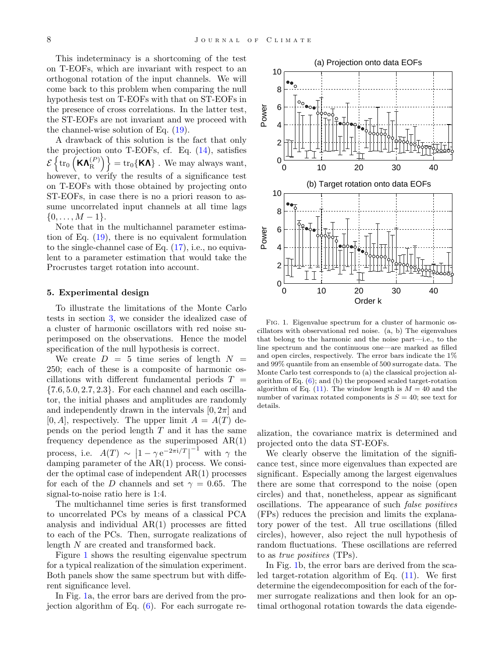This indeterminacy is a shortcoming of the test on T-EOFs, which are invariant with respect to an orthogonal rotation of the input channels. We will come back to this problem when comparing the null hypothesis test on T-EOFs with that on ST-EOFs in the presence of cross correlations. In the latter test, the ST-EOFs are not invariant and we proceed with the channel-wise solution of Eq. [\(19\)](#page-7-2).

A drawback of this solution is the fact that only the projection onto T-EOFs, cf. Eq.  $(14)$ , satisfies  $\mathscr{\mathcal{E}} \left\{ \operatorname{tr}_0 \left( \mathsf{K}\bm{\Lambda}_{\text{R}}^{(P)}\right. \right.$  $\epsilon = \mathrm{tr}_0\{\textsf{K}\bm{\Lambda}\}$  . We may always want, however, to verify the results of a significance test on T-EOFs with those obtained by projecting onto ST-EOFs, in case there is no a priori reason to assume uncorrelated input channels at all time lags  $\{0, \ldots, M-1\}.$ 

Note that in the multichannel parameter estimation of Eq. [\(19\)](#page-7-2), there is no equivalent formulation to the single-channel case of Eq. [\(17\)](#page-7-1), i.e., no equivalent to a parameter estimation that would take the Procrustes target rotation into account.

#### <span id="page-8-0"></span>5. Experimental design

To illustrate the limitations of the Monte Carlo tests in section [3,](#page-4-2) we consider the idealized case of a cluster of harmonic oscillators with red noise superimposed on the observations. Hence the model specification of the null hypothesis is correct.

We create  $D = 5$  time series of length  $N =$ 250; each of these is a composite of harmonic oscillations with different fundamental periods  $T =$  $\{7.6, 5.0, 2.7, 2.3\}$ . For each channel and each oscillator, the initial phases and amplitudes are randomly and independently drawn in the intervals  $[0, 2\pi]$  and  $[0, A]$ , respectively. The upper limit  $A = A(T)$  depends on the period length  $T$  and it has the same frequency dependence as the superimposed  $AR(1)$ process, i.e.  $A(T) \sim \left|1 - \gamma e^{-2\pi i/T}\right|$  $^{-1}$  with  $\gamma$  the damping parameter of the AR(1) process. We consider the optimal case of independent AR(1) processes for each of the D channels and set  $\gamma = 0.65$ . The signal-to-noise ratio here is 1:4.

The multichannel time series is first transformed to uncorrelated PCs by means of a classical PCA analysis and individual  $AR(1)$  processes are fitted to each of the PCs. Then, surrogate realizations of length N are created and transformed back.

Figure [1](#page-8-1) shows the resulting eigenvalue spectrum for a typical realization of the simulation experiment. Both panels show the same spectrum but with different significance level.

In Fig. [1a](#page-8-1), the error bars are derived from the projection algorithm of Eq.  $(6)$ . For each surrogate re-



<span id="page-8-1"></span>Fig. 1. Eigenvalue spectrum for a cluster of harmonic oscillators with observational red noise. (a, b) The eigenvalues that belong to the harmonic and the noise part—i.e., to the line spectrum and the continuous one—are marked as filled and open circles, respectively. The error bars indicate the 1% and 99% quantile from an ensemble of 500 surrogate data. The Monte Carlo test corresponds to (a) the classical projection algorithm of Eq.  $(6)$ ; and  $(b)$  the proposed scaled target-rotation algorithm of Eq. [\(11\)](#page-6-1). The window length is  $M = 40$  and the number of varimax rotated components is  $S = 40$ ; see text for details.

alization, the covariance matrix is determined and projected onto the data ST-EOFs.

We clearly observe the limitation of the significance test, since more eigenvalues than expected are significant. Especially among the largest eigenvalues there are some that correspond to the noise (open circles) and that, nonetheless, appear as significant oscillations. The appearance of such false positives (FPs) reduces the precision and limits the explanatory power of the test. All true oscillations (filled circles), however, also reject the null hypothesis of random fluctuations. These oscillations are referred to as *true positives* (TPs).

In Fig. [1b](#page-8-1), the error bars are derived from the scaled target-rotation algorithm of Eq.  $(11)$ . We first determine the eigendecomposition for each of the former surrogate realizations and then look for an optimal orthogonal rotation towards the data eigende-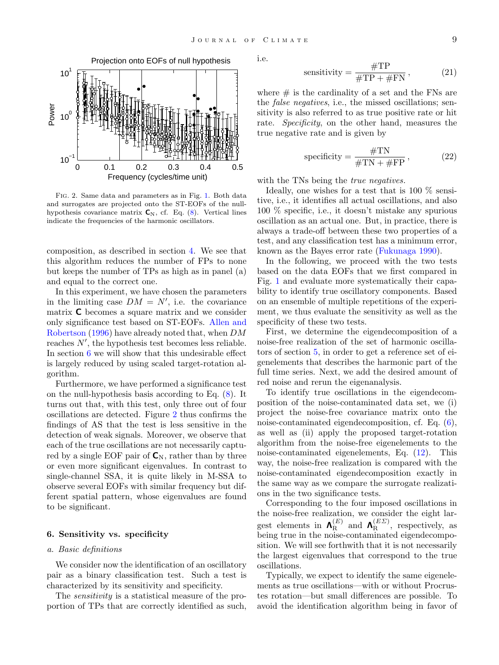

<span id="page-9-1"></span>Fig. 2. Same data and parameters as in Fig. [1.](#page-8-1) Both data and surrogates are projected onto the ST-EOFs of the nullhypothesis covariance matrix  $C_N$ , cf. Eq. [\(8\)](#page-5-1). Vertical lines indicate the frequencies of the harmonic oscillators.

composition, as described in section [4.](#page-5-0) We see that this algorithm reduces the number of FPs to none but keeps the number of TPs as high as in panel (a) and equal to the correct one.

In this experiment, we have chosen the parameters in the limiting case  $DM = N'$ , i.e. the covariance matrix C becomes a square matrix and we consider only significance test based on ST-EOFs. [Allen and](#page-20-3) [Robertson](#page-20-3) [\(1996\)](#page-20-3) have already noted that, when DM reaches  $N'$ , the hypothesis test becomes less reliable. In section [6](#page-9-0) we will show that this undesirable effect is largely reduced by using scaled target-rotation algorithm.

Furthermore, we have performed a significance test on the null-hypothesis basis according to Eq. [\(8\)](#page-5-1). It turns out that, with this test, only three out of four oscillations are detected. Figure [2](#page-9-1) thus confirms the findings of AS that the test is less sensitive in the detection of weak signals. Moreover, we observe that each of the true oscillations are not necessarily captured by a single EOF pair of  $\mathsf{C}_{N}$ , rather than by three or even more significant eigenvalues. In contrast to single-channel SSA, it is quite likely in M-SSA to observe several EOFs with similar frequency but different spatial pattern, whose eigenvalues are found to be significant.

#### <span id="page-9-0"></span>6. Sensitivity vs. specificity

#### a. Basic definitions

We consider now the identification of an oscillatory pair as a binary classification test. Such a test is characterized by its sensitivity and specificity.

The *sensitivity* is a statistical measure of the proportion of TPs that are correctly identified as such, i.e.

$$
sensitivity = \frac{\text{\#TP}}{\text{\#TP} + \text{\#FN}},\tag{21}
$$

where  $\#$  is the cardinality of a set and the FNs are the false negatives, i.e., the missed oscillations; sensitivity is also referred to as true positive rate or hit rate. Specificity, on the other hand, measures the true negative rate and is given by

specificity = 
$$
\frac{\text{\#TN}}{\text{\#TN} + \text{\#FP}}
$$
, (22)

with the TNs being the *true negatives*.

Ideally, one wishes for a test that is 100 % sensitive, i.e., it identifies all actual oscillations, and also 100 % specific, i.e., it doesn't mistake any spurious oscillation as an actual one. But, in practice, there is always a trade-off between these two properties of a test, and any classification test has a minimum error, known as the Bayes error rate [\(Fukunaga](#page-21-22) [1990\)](#page-21-22).

In the following, we proceed with the two tests based on the data EOFs that we first compared in Fig. [1](#page-8-1) and evaluate more systematically their capability to identify true oscillatory components. Based on an ensemble of multiple repetitions of the experiment, we thus evaluate the sensitivity as well as the specificity of these two tests.

First, we determine the eigendecomposition of a noise-free realization of the set of harmonic oscillators of section [5,](#page-8-0) in order to get a reference set of eigenelements that describes the harmonic part of the full time series. Next, we add the desired amount of red noise and rerun the eigenanalysis.

To identify true oscillations in the eigendecomposition of the noise-contaminated data set, we (i) project the noise-free covariance matrix onto the noise-contaminated eigendecomposition, cf. Eq. [\(6\)](#page-4-0), as well as (ii) apply the proposed target-rotation algorithm from the noise-free eigenelements to the noise-contaminated eigenelements, Eq. [\(12\)](#page-6-3). This way, the noise-free realization is compared with the noise-contaminated eigendecomposition exactly in the same way as we compare the surrogate realizations in the two significance tests.

Corresponding to the four imposed oscillations in the noise-free realization, we consider the eight largest elements in  $\mathbf{\Lambda}_{\mathrm{B}}^{(E)}$  $R_R^{(E)}$  and  $\mathbf{\Lambda}_R^{(E\Sigma)}$  $R^{(EZ)}$ , respectively, as being true in the noise-contaminated eigendecomposition. We will see forthwith that it is not necessarily the largest eigenvalues that correspond to the true oscillations.

Typically, we expect to identify the same eigenelements as true oscillations—with or without Procrustes rotation—but small differences are possible. To avoid the identification algorithm being in favor of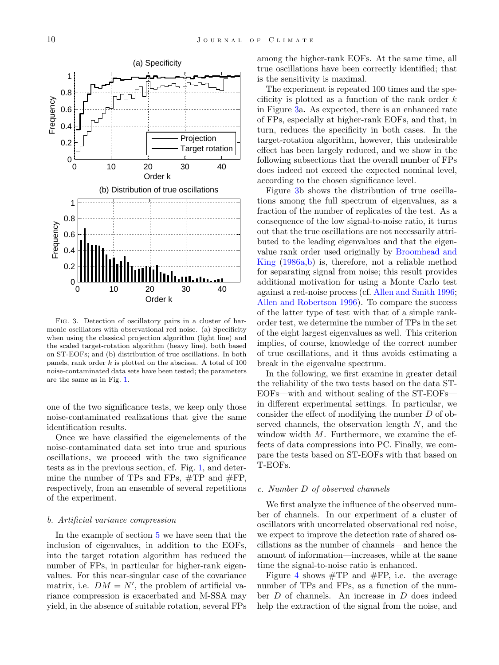

<span id="page-10-0"></span>Fig. 3. Detection of oscillatory pairs in a cluster of harmonic oscillators with observational red noise. (a) Specificity when using the classical projection algorithm (light line) and the scaled target-rotation algorithm (heavy line), both based on ST-EOFs; and (b) distribution of true oscillations. In both panels, rank order  $k$  is plotted on the abscissa. A total of 100 noise-contaminated data sets have been tested; the parameters are the same as in Fig. [1.](#page-8-1)

one of the two significance tests, we keep only those noise-contaminated realizations that give the same identification results.

Once we have classified the eigenelements of the noise-contaminated data set into true and spurious oscillations, we proceed with the two significance tests as in the previous section, cf. Fig. [1,](#page-8-1) and determine the number of TPs and FPs, #TP and #FP, respectively, from an ensemble of several repetitions of the experiment.

#### b. Artificial variance compression

In the example of section [5](#page-8-0) we have seen that the inclusion of eigenvalues, in addition to the EOFs, into the target rotation algorithm has reduced the number of FPs, in particular for higher-rank eigenvalues. For this near-singular case of the covariance matrix, i.e.  $DM = N'$ , the problem of artificial variance compression is exacerbated and M-SSA may yield, in the absence of suitable rotation, several FPs among the higher-rank EOFs. At the same time, all true oscillations have been correctly identified; that is the sensitivity is maximal.

The experiment is repeated 100 times and the specificity is plotted as a function of the rank order  $k$ in Figure [3a](#page-10-0). As expected, there is an enhanced rate of FPs, especially at higher-rank EOFs, and that, in turn, reduces the specificity in both cases. In the target-rotation algorithm, however, this undesirable effect has been largely reduced, and we show in the following subsections that the overall number of FPs does indeed not exceed the expected nominal level, according to the chosen significance level.

Figure [3b](#page-10-0) shows the distribution of true oscillations among the full spectrum of eigenvalues, as a fraction of the number of replicates of the test. As a consequence of the low signal-to-noise ratio, it turns out that the true oscillations are not necessarily attributed to the leading eigenvalues and that the eigenvalue rank order used originally by [Broomhead and](#page-20-0) [King](#page-20-0) [\(1986a](#page-20-0)[,b\)](#page-20-1) is, therefore, not a reliable method for separating signal from noise; this result provides additional motivation for using a Monte Carlo test against a red-noise process (cf. [Allen and Smith](#page-20-2) [1996;](#page-20-2) [Allen and Robertson](#page-20-3) [1996\)](#page-20-3). To compare the success of the latter type of test with that of a simple rankorder test, we determine the number of TPs in the set of the eight largest eigenvalues as well. This criterion implies, of course, knowledge of the correct number of true oscillations, and it thus avoids estimating a break in the eigenvalue spectrum.

In the following, we first examine in greater detail the reliability of the two tests based on the data ST-EOFs—with and without scaling of the ST-EOFs in different experimental settings. In particular, we consider the effect of modifying the number D of observed channels, the observation length  $N$ , and the window width  $M$ . Furthermore, we examine the effects of data compressions into PC. Finally, we compare the tests based on ST-EOFs with that based on T-EOFs.

#### c. Number D of observed channels

We first analyze the influence of the observed number of channels. In our experiment of a cluster of oscillators with uncorrelated observational red noise, we expect to improve the detection rate of shared oscillations as the number of channels—and hence the amount of information—increases, while at the same time the signal-to-noise ratio is enhanced.

Figure [4](#page-11-0) shows  $\#\mathrm{TP}$  and  $\#\mathrm{FP}$ , i.e. the average number of TPs and FPs, as a function of the number D of channels. An increase in D does indeed help the extraction of the signal from the noise, and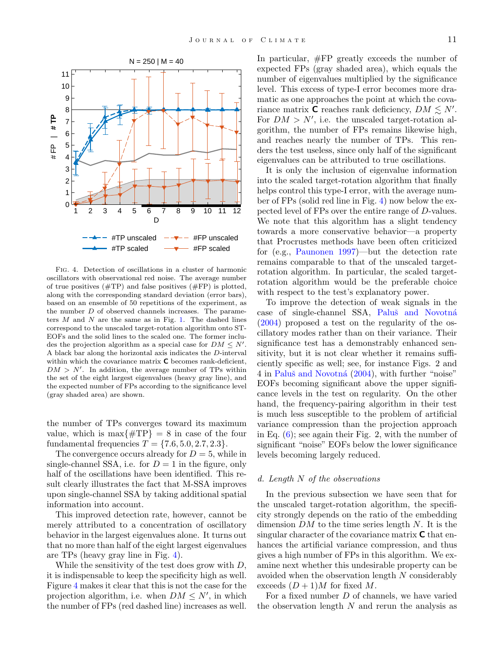

<span id="page-11-0"></span>Fig. 4. Detection of oscillations in a cluster of harmonic oscillators with observational red noise. The average number of true positives  $(\text{#TP})$  and false positives  $(\text{#FP})$  is plotted, along with the corresponding standard deviation (error bars), based on an ensemble of 50 repetitions of the experiment, as the number D of observed channels increases. The parameters  $M$  and  $N$  are the same as in Fig. [1.](#page-8-1) The dashed lines correspond to the unscaled target-rotation algorithm onto ST-EOFs and the solid lines to the scaled one. The former includes the projection algorithm as a special case for  $DM \leq N'$ . A black bar along the horizontal axis indicates the D-interval within which the covariance matrix **C** becomes rank-deficient,  $DM > N'$ . In addition, the average number of TPs within the set of the eight largest eigenvalues (heavy gray line), and the expected number of FPs according to the significance level (gray shaded area) are shown.

the number of TPs converges toward its maximum value, which is  $\max\{\#TP\} = 8$  in case of the four fundamental frequencies  $T = \{7.6, 5.0, 2.7, 2.3\}.$ 

The convergence occurs already for  $D = 5$ , while in single-channel SSA, i.e. for  $D = 1$  in the figure, only half of the oscillations have been identified. This result clearly illustrates the fact that M-SSA improves upon single-channel SSA by taking additional spatial information into account.

This improved detection rate, however, cannot be merely attributed to a concentration of oscillatory behavior in the largest eigenvalues alone. It turns out that no more than half of the eight largest eigenvalues are TPs (heavy gray line in Fig. [4\)](#page-11-0).

While the sensitivity of the test does grow with  $D$ , it is indispensable to keep the specificity high as well. Figure [4](#page-11-0) makes it clear that this is not the case for the projection algorithm, i.e. when  $DM \leq N'$ , in which the number of FPs (red dashed line) increases as well.

In particular, #FP greatly exceeds the number of expected FPs (gray shaded area), which equals the number of eigenvalues multiplied by the significance level. This excess of type-I error becomes more dramatic as one approaches the point at which the covariance matrix  $\overline{C}$  reaches rank deficiency,  $DM \leq N'$ . For  $DM > N'$ , i.e. the unscaled target-rotation algorithm, the number of FPs remains likewise high, and reaches nearly the number of TPs. This renders the test useless, since only half of the significant eigenvalues can be attributed to true oscillations.

It is only the inclusion of eigenvalue information into the scaled target-rotation algorithm that finally helps control this type-I error, with the average number of FPs (solid red line in Fig. [4\)](#page-11-0) now below the expected level of FPs over the entire range of D-values. We note that this algorithm has a slight tendency towards a more conservative behavior—a property that Procrustes methods have been often criticized for (e.g., [Paunonen](#page-21-23) [1997\)](#page-21-23)—but the detection rate remains comparable to that of the unscaled targetrotation algorithm. In particular, the scaled targetrotation algorithm would be the preferable choice with respect to the test's explanatory power.

To improve the detection of weak signals in the case of single-channel SSA, Paluš and Novotná [\(2004\)](#page-21-20) proposed a test on the regularity of the oscillatory modes rather than on their variance. Their significance test has a demonstrably enhanced sensitivity, but it is not clear whether it remains sufficiently specific as well; see, for instance Figs. 2 and 4 in Paluš and Novotná [\(2004\)](#page-21-20), with further "noise" EOFs becoming significant above the upper significance levels in the test on regularity. On the other hand, the frequency-pairing algorithm in their test is much less susceptible to the problem of artificial variance compression than the projection approach in Eq.  $(6)$ ; see again their Fig. 2, with the number of significant "noise" EOFs below the lower significance levels becoming largely reduced.

#### d. Length N of the observations

In the previous subsection we have seen that for the unscaled target-rotation algorithm, the specificity strongly depends on the ratio of the embedding dimension  $DM$  to the time series length N. It is the singular character of the covariance matrix  $C$  that enhances the artificial variance compression, and thus gives a high number of FPs in this algorithm. We examine next whether this undesirable property can be avoided when the observation length N considerably exceeds  $(D+1)M$  for fixed M.

For a fixed number D of channels, we have varied the observation length  $N$  and rerun the analysis as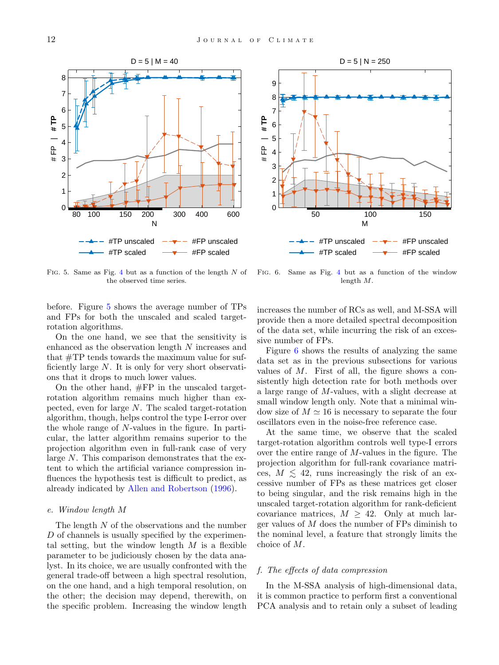



<span id="page-12-0"></span>FIG. 5. Same as Fig. [4](#page-11-0) but as a function of the length  $N$  of the observed time series.

<span id="page-12-1"></span>Fig. 6. Same as Fig. [4](#page-11-0) but as a function of the window length M.

before. Figure [5](#page-12-0) shows the average number of TPs and FPs for both the unscaled and scaled targetrotation algorithms.

On the one hand, we see that the sensitivity is enhanced as the observation length N increases and that #TP tends towards the maximum value for sufficiently large  $N$ . It is only for very short observations that it drops to much lower values.

On the other hand, #FP in the unscaled targetrotation algorithm remains much higher than expected, even for large N. The scaled target-rotation algorithm, though, helps control the type I-error over the whole range of N-values in the figure. In particular, the latter algorithm remains superior to the projection algorithm even in full-rank case of very large N. This comparison demonstrates that the extent to which the artificial variance compression influences the hypothesis test is difficult to predict, as already indicated by [Allen and Robertson](#page-20-3) [\(1996\)](#page-20-3).

#### e. Window length M

The length  $N$  of the observations and the number  $D$  of channels is usually specified by the experimental setting, but the window length  $M$  is a flexible parameter to be judiciously chosen by the data analyst. In its choice, we are usually confronted with the general trade-off between a high spectral resolution, on the one hand, and a high temporal resolution, on the other; the decision may depend, therewith, on the specific problem. Increasing the window length

increases the number of RCs as well, and M-SSA will provide then a more detailed spectral decomposition of the data set, while incurring the risk of an excessive number of FPs.

Figure [6](#page-12-1) shows the results of analyzing the same data set as in the previous subsections for various values of  $M$ . First of all, the figure shows a consistently high detection rate for both methods over a large range of M-values, with a slight decrease at small window length only. Note that a minimal window size of  $M \simeq 16$  is necessary to separate the four oscillators even in the noise-free reference case.

At the same time, we observe that the scaled target-rotation algorithm controls well type-I errors over the entire range of M-values in the figure. The projection algorithm for full-rank covariance matrices,  $M \leq 42$ , runs increasingly the risk of an excessive number of FPs as these matrices get closer to being singular, and the risk remains high in the unscaled target-rotation algorithm for rank-deficient covariance matrices,  $M \geq 42$ . Only at much larger values of  $M$  does the number of FPs diminish to the nominal level, a feature that strongly limits the choice of M.

#### <span id="page-12-2"></span>f. The effects of data compression

In the M-SSA analysis of high-dimensional data, it is common practice to perform first a conventional PCA analysis and to retain only a subset of leading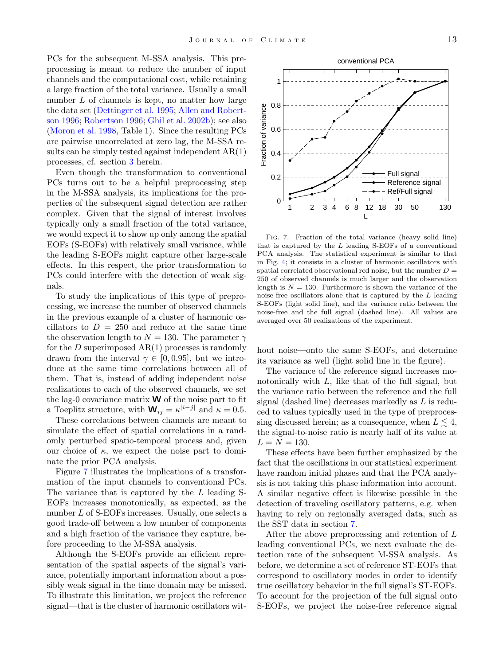PCs for the subsequent M-SSA analysis. This preprocessing is meant to reduce the number of input channels and the computational cost, while retaining a large fraction of the total variance. Usually a small number L of channels is kept, no matter how large the data set [\(Dettinger et al.](#page-20-10) [1995;](#page-20-10) [Allen and Robert](#page-20-3)[son](#page-20-3) [1996;](#page-20-3) [Robertson](#page-21-24) [1996;](#page-21-24) [Ghil et al.](#page-21-1) [2002b\)](#page-21-1); see also [\(Moron et al.](#page-21-25) [1998,](#page-21-25) Table 1). Since the resulting PCs are pairwise uncorrelated at zero lag, the M-SSA results can be simply tested against independent  $AR(1)$ processes, cf. section [3](#page-4-2) herein.

Even though the transformation to conventional PCs turns out to be a helpful preprocessing step in the M-SSA analysis, its implications for the properties of the subsequent signal detection are rather complex. Given that the signal of interest involves typically only a small fraction of the total variance, we would expect it to show up only among the spatial EOFs (S-EOFs) with relatively small variance, while the leading S-EOFs might capture other large-scale effects. In this respect, the prior transformation to PCs could interfere with the detection of weak signals.

To study the implications of this type of preprocessing, we increase the number of observed channels in the previous example of a cluster of harmonic oscillators to  $D = 250$  and reduce at the same time the observation length to  $N = 130$ . The parameter  $\gamma$ for the  $D$  superimposed  $AR(1)$  processes is randomly drawn from the interval  $\gamma \in [0, 0.95]$ , but we introduce at the same time correlations between all of them. That is, instead of adding independent noise realizations to each of the observed channels, we set the lag-0 covariance matrix  $W$  of the noise part to fit a Toeplitz structure, with  $\mathbf{W}_{ij} = \kappa^{|i-j|}$  and  $\kappa = 0.5$ .

These correlations between channels are meant to simulate the effect of spatial correlations in a randomly perturbed spatio-temporal process and, given our choice of  $\kappa$ , we expect the noise part to dominate the prior PCA analysis.

Figure [7](#page-13-0) illustrates the implications of a transformation of the input channels to conventional PCs. The variance that is captured by the L leading S-EOFs increases monotonically, as expected, as the number L of S-EOFs increases. Usually, one selects a good trade-off between a low number of components and a high fraction of the variance they capture, before proceeding to the M-SSA analysis.

Although the S-EOFs provide an efficient representation of the spatial aspects of the signal's variance, potentially important information about a possibly weak signal in the time domain may be missed. To illustrate this limitation, we project the reference signal—that is the cluster of harmonic oscillators wit-



<span id="page-13-0"></span>Fig. 7. Fraction of the total variance (heavy solid line) that is captured by the  $L$  leading S-EOFs of a conventional PCA analysis. The statistical experiment is similar to that in Fig. [4;](#page-11-0) it consists in a cluster of harmonic oscillators with spatial correlated observational red noise, but the number  $D =$ 250 of observed channels is much larger and the observation length is  $N = 130$ . Furthermore is shown the variance of the noise-free oscillators alone that is captured by the L leading S-EOFs (light solid line), and the variance ratio between the noise-free and the full signal (dashed line). All values are averaged over 50 realizations of the experiment.

hout noise—onto the same S-EOFs, and determine its variance as well (light solid line in the figure).

The variance of the reference signal increases monotonically with  $L$ , like that of the full signal, but the variance ratio between the reference and the full signal (dashed line) decreases markedly as L is reduced to values typically used in the type of preprocessing discussed herein; as a consequence, when  $L \leq 4$ , the signal-to-noise ratio is nearly half of its value at  $L = N = 130.$ 

These effects have been further emphasized by the fact that the oscillations in our statistical experiment have random initial phases and that the PCA analysis is not taking this phase information into account. A similar negative effect is likewise possible in the detection of traveling oscillatory patterns, e.g. when having to rely on regionally averaged data, such as the SST data in section [7.](#page-15-0)

After the above preprocessing and retention of L leading conventional PCs, we next evaluate the detection rate of the subsequent M-SSA analysis. As before, we determine a set of reference ST-EOFs that correspond to oscillatory modes in order to identify true oscillatory behavior in the full signal's ST-EOFs. To account for the projection of the full signal onto S-EOFs, we project the noise-free reference signal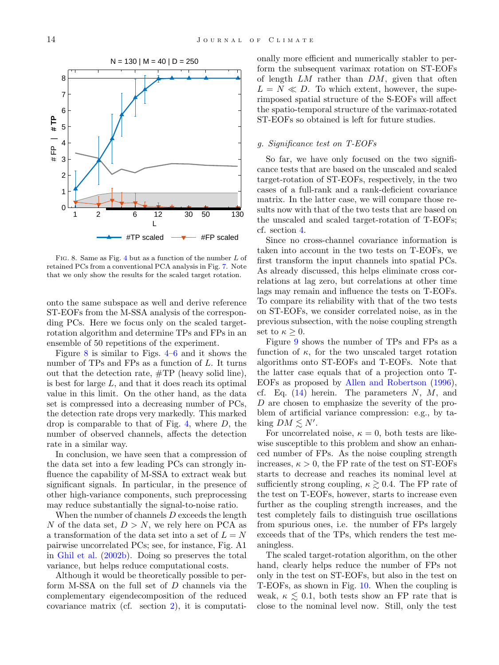

<span id="page-14-0"></span>Fig. 8. Same as Fig. [4](#page-11-0) but as a function of the number L of retained PCs from a conventional PCA analysis in Fig. [7.](#page-13-0) Note that we only show the results for the scaled target rotation.

onto the same subspace as well and derive reference ST-EOFs from the M-SSA analysis of the corresponding PCs. Here we focus only on the scaled targetrotation algorithm and determine TPs and FPs in an ensemble of 50 repetitions of the experiment.

Figure [8](#page-14-0) is similar to Figs. [4–](#page-11-0)[6](#page-12-1) and it shows the number of TPs and FPs as a function of L. It turns out that the detection rate, #TP (heavy solid line), is best for large  $L$ , and that it does reach its optimal value in this limit. On the other hand, as the data set is compressed into a decreasing number of PCs, the detection rate drops very markedly. This marked drop is comparable to that of Fig. [4,](#page-11-0) where  $D$ , the number of observed channels, affects the detection rate in a similar way.

In conclusion, we have seen that a compression of the data set into a few leading PCs can strongly influence the capability of M-SSA to extract weak but significant signals. In particular, in the presence of other high-variance components, such preprocessing may reduce substantially the signal-to-noise ratio.

When the number of channels  $D$  exceeds the length N of the data set,  $D > N$ , we rely here on PCA as a transformation of the data set into a set of  $L = N$ pairwise uncorrelated PCs; see, for instance, Fig. A1 in [Ghil et al.](#page-21-1) [\(2002b\)](#page-21-1). Doing so preserves the total variance, but helps reduce computational costs.

Although it would be theoretically possible to perform M-SSA on the full set of D channels via the complementary eigendecomposition of the reduced covariance matrix (cf. section [2\)](#page-2-0), it is computationally more efficient and numerically stabler to perform the subsequent varimax rotation on ST-EOFs of length  $LM$  rather than  $DM$ , given that often  $L = N \ll D$ . To which extent, however, the superimposed spatial structure of the S-EOFs will affect the spatio-temporal structure of the varimax-rotated ST-EOFs so obtained is left for future studies.

#### g. Significance test on T-EOFs

So far, we have only focused on the two significance tests that are based on the unscaled and scaled target-rotation of ST-EOFs, respectively, in the two cases of a full-rank and a rank-deficient covariance matrix. In the latter case, we will compare those results now with that of the two tests that are based on the unscaled and scaled target-rotation of T-EOFs; cf. section [4.](#page-5-0)

Since no cross-channel covariance information is taken into account in the two tests on T-EOFs, we first transform the input channels into spatial PCs. As already discussed, this helps eliminate cross correlations at lag zero, but correlations at other time lags may remain and influence the tests on T-EOFs. To compare its reliability with that of the two tests on ST-EOFs, we consider correlated noise, as in the previous subsection, with the noise coupling strength set to  $\kappa \geq 0$ .

Figure [9](#page-15-1) shows the number of TPs and FPs as a function of  $\kappa$ , for the two unscaled target rotation algorithms onto ST-EOFs and T-EOFs. Note that the latter case equals that of a projection onto T-EOFs as proposed by [Allen and Robertson](#page-20-3) [\(1996\)](#page-20-3), cf. Eq.  $(14)$  herein. The parameters N, M, and D are chosen to emphasize the severity of the problem of artificial variance compression: e.g., by taking  $DM \lesssim N'.$ 

For uncorrelated noise,  $\kappa = 0$ , both tests are likewise susceptible to this problem and show an enhanced number of FPs. As the noise coupling strength increases,  $\kappa > 0$ , the FP rate of the test on ST-EOFs starts to decrease and reaches its nominal level at sufficiently strong coupling,  $\kappa \gtrsim 0.4$ . The FP rate of the test on T-EOFs, however, starts to increase even further as the coupling strength increases, and the test completely fails to distinguish true oscillations from spurious ones, i.e. the number of FPs largely exceeds that of the TPs, which renders the test meaningless.

The scaled target-rotation algorithm, on the other hand, clearly helps reduce the number of FPs not only in the test on ST-EOFs, but also in the test on T-EOFs, as shown in Fig. [10.](#page-15-2) When the coupling is weak,  $\kappa \leq 0.1$ , both tests show an FP rate that is close to the nominal level now. Still, only the test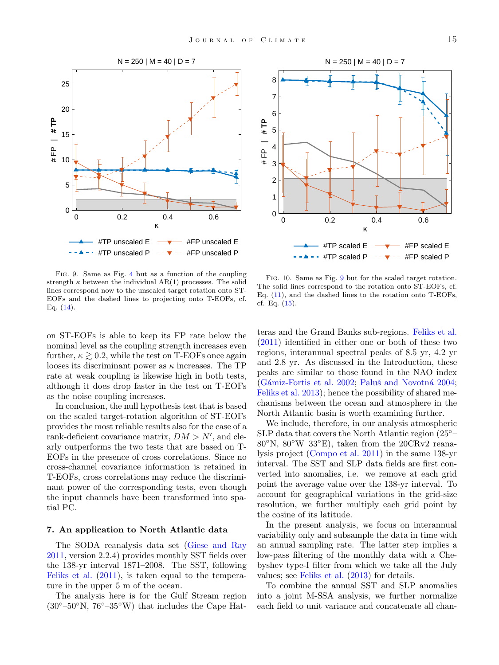



<span id="page-15-1"></span>Fig. 9. Same as Fig. [4](#page-11-0) but as a function of the coupling strength  $\kappa$  between the individual AR(1) processes. The solid lines correspond now to the unscaled target rotation onto ST-EOFs and the dashed lines to projecting onto T-EOFs, cf. Eq. [\(14\)](#page-6-2).

on ST-EOFs is able to keep its FP rate below the nominal level as the coupling strength increases even further,  $\kappa \gtrsim 0.2$ , while the test on T-EOFs once again looses its discriminant power as  $\kappa$  increases. The TP rate at weak coupling is likewise high in both tests, although it does drop faster in the test on T-EOFs as the noise coupling increases.

In conclusion, the null hypothesis test that is based on the scaled target-rotation algorithm of ST-EOFs provides the most reliable results also for the case of a rank-deficient covariance matrix,  $DM > N'$ , and clearly outperforms the two tests that are based on T-EOFs in the presence of cross correlations. Since no cross-channel covariance information is retained in T-EOFs, cross correlations may reduce the discriminant power of the corresponding tests, even though the input channels have been transformed into spatial PC.

#### <span id="page-15-0"></span>7. An application to North Atlantic data

The SODA reanalysis data set [\(Giese and Ray](#page-21-9) [2011,](#page-21-9) version 2.2.4) provides monthly SST fields over the 138-yr interval 1871–2008. The SST, following [Feliks et al.](#page-20-6) [\(2011\)](#page-20-6), is taken equal to the temperature in the upper 5 m of the ocean.

The analysis here is for the Gulf Stream region  $(30^{\circ}-50^{\circ}N, 76^{\circ}-35^{\circ}W)$  that includes the Cape Hat-

<span id="page-15-2"></span>Fig. 10. Same as Fig. [9](#page-15-1) but for the scaled target rotation. The solid lines correspond to the rotation onto ST-EOFs, cf. Eq. [\(11\)](#page-6-1), and the dashed lines to the rotation onto T-EOFs, cf. Eq.  $(15)$ .

teras and the Grand Banks sub-regions. [Feliks et al.](#page-20-6) [\(2011\)](#page-20-6) identified in either one or both of these two regions, interannual spectral peaks of 8.5 yr, 4.2 yr and 2.8 yr. As discussed in the Introduction, these peaks are similar to those found in the NAO index  $(Gámiz-Fortis et al. 2002; Paluš and Novotná 2004;$  $(Gámiz-Fortis et al. 2002; Paluš and Novotná 2004;$  $(Gámiz-Fortis et al. 2002; Paluš and Novotná 2004;$  $(Gámiz-Fortis et al. 2002; Paluš and Novotná 2004;$ [Feliks et al.](#page-21-11) [2013\)](#page-21-11); hence the possibility of shared mechanisms between the ocean and atmosphere in the North Atlantic basin is worth examining further.

We include, therefore, in our analysis atmospheric SLP data that covers the North Atlantic region (25◦– 80◦N, 80◦W–33◦E), taken from the 20CRv2 reanalysis project [\(Compo et al.](#page-20-5) [2011\)](#page-20-5) in the same 138-yr interval. The SST and SLP data fields are first converted into anomalies, i.e. we remove at each grid point the average value over the 138-yr interval. To account for geographical variations in the grid-size resolution, we further multiply each grid point by the cosine of its latitude.

In the present analysis, we focus on interannual variability only and subsample the data in time with an annual sampling rate. The latter step implies a low-pass filtering of the monthly data with a Chebyshev type-I filter from which we take all the July values; see [Feliks et al.](#page-21-11) [\(2013\)](#page-21-11) for details.

To combine the annual SST and SLP anomalies into a joint M-SSA analysis, we further normalize each field to unit variance and concatenate all chan-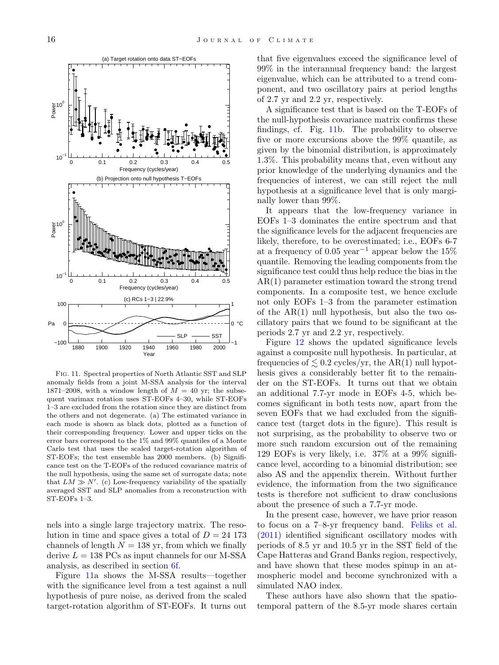

<span id="page-16-0"></span>Fig. 11. Spectral properties of North Atlantic SST and SLP anomaly fields from a joint M-SSA analysis for the interval 1871–2008, with a window length of  $M = 40$  yr; the subsequent varimax rotation uses ST-EOFs 4–30, while ST-EOFs 1–3 are excluded from the rotation since they are distinct from the others and not degenerate. (a) The estimated variance in each mode is shown as black dots, plotted as a function of their corresponding frequency. Lower and upper ticks on the error bars correspond to the 1% and 99% quantiles of a Monte Carlo test that uses the scaled target-rotation algorithm of ST-EOFs; the test ensemble has 2000 members. (b) Significance test on the T-EOFs of the reduced covariance matrix of the null hypothesis, using the same set of surrogate data; note that  $LM \gg N'$ . (c) Low-frequency variability of the spatially averaged SST and SLP anomalies from a reconstruction with ST-EOFs 1–3.

nels into a single large trajectory matrix. The resolution in time and space gives a total of  $D = 24$  173 channels of length  $N = 138$  yr, from which we finally derive  $L = 138$  PCs as input channels for our M-SSA analysis, as described in section [6](#page-9-0)[f.](#page-12-2)

Figure [11a](#page-16-0) shows the M-SSA results—together with the significance level from a test against a null hypothesis of pure noise, as derived from the scaled target-rotation algorithm of ST-EOFs. It turns out that five eigenvalues exceed the significance level of 99% in the interannual frequency band: the largest eigenvalue, which can be attributed to a trend component, and two oscillatory pairs at period lengths of 2.7 yr and 2.2 yr, respectively.

A significance test that is based on the T-EOFs of the null-hypothesis covariance matrix confirms these findings, cf. Fig. [11b](#page-16-0). The probability to observe five or more excursions above the 99% quantile, as given by the binomial distribution, is approximately 1.3%. This probability means that, even without any prior knowledge of the underlying dynamics and the frequencies of interest, we can still reject the null hypothesis at a significance level that is only marginally lower than 99%.

It appears that the low-frequency variance in EOFs 1–3 dominates the entire spectrum and that the significance levels for the adjacent frequencies are likely, therefore, to be overestimated; i.e., EOFs 6-7 at a frequency of 0.05 year<sup>-1</sup> appear below the 15% quantile. Removing the leading components from the significance test could thus help reduce the bias in the AR(1) parameter estimation toward the strong trend components. In a composite test, we hence exclude not only EOFs 1–3 from the parameter estimation of the  $AR(1)$  null hypothesis, but also the two oscillatory pairs that we found to be significant at the periods 2.7 yr and 2.2 yr, respectively.

Figure [12](#page-17-1) shows the updated significance levels against a composite null hypothesis. In particular, at frequencies of  $\leq 0.2$  cycles/yr, the AR(1) null hypothesis gives a considerably better fit to the remainder on the ST-EOFs. It turns out that we obtain an additional 7.7-yr mode in EOFs 4-5, which becomes significant in both tests now, apart from the seven EOFs that we had excluded from the significance test (target dots in the figure). This result is not surprising, as the probability to observe two or more such random excursion out of the remaining 129 EOFs is very likely, i.e. 37% at a 99% significance level, according to a binomial distribution; see also AS and the appendix therein. Without further evidence, the information from the two significance tests is therefore not sufficient to draw conclusions about the presence of such a 7.7-yr mode.

In the present case, however, we have prior reason to focus on a 7–8-yr frequency band. [Feliks et al.](#page-20-6) [\(2011\)](#page-20-6) identified significant oscillatory modes with periods of 8.5 yr and 10.5 yr in the SST field of the Cape Hatteras and Grand Banks region, respectively, and have shown that these modes spinup in an atmospheric model and become synchronized with a simulated NAO index.

These authors have also shown that the spatiotemporal pattern of the 8.5-yr mode shares certain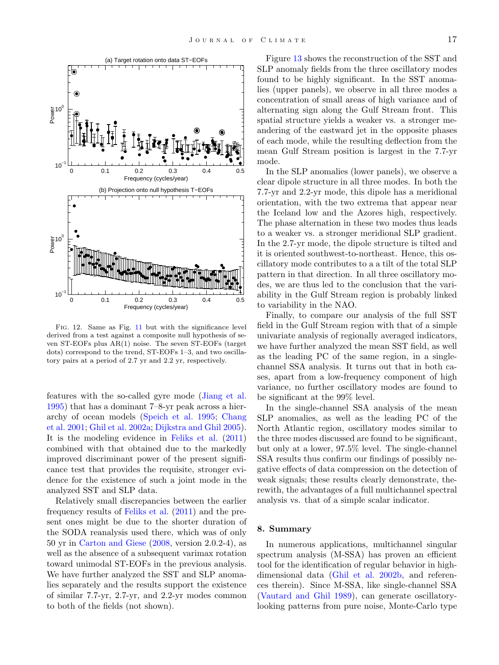

<span id="page-17-1"></span>Fig. 12. Same as Fig. [11](#page-16-0) but with the significance level derived from a test against a composite null hypothesis of seven ST-EOFs plus AR(1) noise. The seven ST-EOFs (target dots) correspond to the trend, ST-EOFs 1–3, and two oscillatory pairs at a period of 2.7 yr and 2.2 yr, respectively.

features with the so-called gyre mode [\(Jiang et al.](#page-21-27) [1995\)](#page-21-27) that has a dominant 7–8-yr peak across a hierarchy of ocean models [\(Speich et al.](#page-21-28) [1995;](#page-21-28) [Chang](#page-20-11) [et al.](#page-20-11) [2001;](#page-20-11) [Ghil et al.](#page-21-29) [2002a;](#page-21-29) [Dijkstra and Ghil](#page-20-12) [2005\)](#page-20-12). It is the modeling evidence in [Feliks et al.](#page-20-6) [\(2011\)](#page-20-6) combined with that obtained due to the markedly improved discriminant power of the present significance test that provides the requisite, stronger evidence for the existence of such a joint mode in the analyzed SST and SLP data.

Relatively small discrepancies between the earlier frequency results of [Feliks et al.](#page-20-6) [\(2011\)](#page-20-6) and the present ones might be due to the shorter duration of the SODA reanalysis used there, which was of only 50 yr in [Carton and Giese](#page-20-4) [\(2008,](#page-20-4) version 2.0.2-4), as well as the absence of a subsequent varimax rotation toward unimodal ST-EOFs in the previous analysis. We have further analyzed the SST and SLP anomalies separately and the results support the existence of similar 7.7-yr, 2.7-yr, and 2.2-yr modes common to both of the fields (not shown).

Figure [13](#page-18-0) shows the reconstruction of the SST and SLP anomaly fields from the three oscillatory modes found to be highly significant. In the SST anomalies (upper panels), we observe in all three modes a concentration of small areas of high variance and of alternating sign along the Gulf Stream front. This spatial structure yields a weaker vs. a stronger meandering of the eastward jet in the opposite phases of each mode, while the resulting deflection from the mean Gulf Stream position is largest in the 7.7-yr mode.

In the SLP anomalies (lower panels), we observe a clear dipole structure in all three modes. In both the 7.7-yr and 2.2-yr mode, this dipole has a meridional orientation, with the two extrema that appear near the Iceland low and the Azores high, respectively. The phase alternation in these two modes thus leads to a weaker vs. a stronger meridional SLP gradient. In the 2.7-yr mode, the dipole structure is tilted and it is oriented southwest-to-northeast. Hence, this oscillatory mode contributes to a a tilt of the total SLP pattern in that direction. In all three oscillatory modes, we are thus led to the conclusion that the variability in the Gulf Stream region is probably linked to variability in the NAO.

Finally, to compare our analysis of the full SST field in the Gulf Stream region with that of a simple univariate analysis of regionally averaged indicators, we have further analyzed the mean SST field, as well as the leading PC of the same region, in a singlechannel SSA analysis. It turns out that in both cases, apart from a low-frequency component of high variance, no further oscillatory modes are found to be significant at the 99% level.

In the single-channel SSA analysis of the mean SLP anomalies, as well as the leading PC of the North Atlantic region, oscillatory modes similar to the three modes discussed are found to be significant, but only at a lower, 97.5% level. The single-channel SSA results thus confirm our findings of possibly negative effects of data compression on the detection of weak signals; these results clearly demonstrate, therewith, the advantages of a full multichannel spectral analysis vs. that of a simple scalar indicator.

#### <span id="page-17-0"></span>8. Summary

In numerous applications, multichannel singular spectrum analysis (M-SSA) has proven an efficient tool for the identification of regular behavior in highdimensional data [\(Ghil et al.](#page-21-1) [2002b,](#page-21-1) and references therein). Since M-SSA, like single-channel SSA [\(Vautard and Ghil](#page-21-2) [1989\)](#page-21-2), can generate oscillatorylooking patterns from pure noise, Monte-Carlo type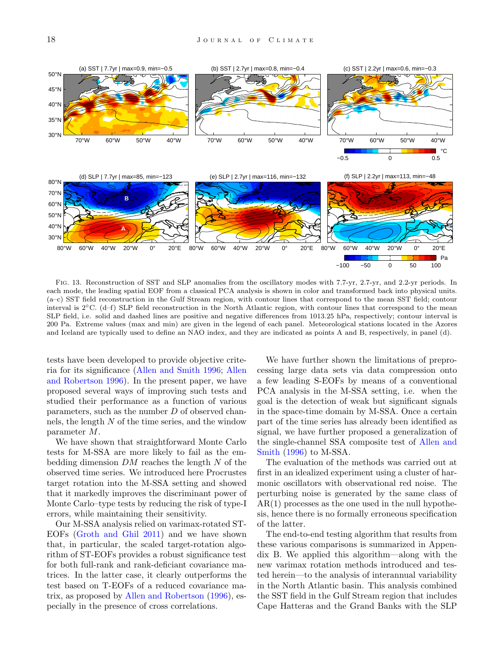

<span id="page-18-0"></span>Fig. 13. Reconstruction of SST and SLP anomalies from the oscillatory modes with 7.7-yr, 2.7-yr, and 2.2-yr periods. In each mode, the leading spatial EOF from a classical PCA analysis is shown in color and transformed back into physical units. (a–c) SST field reconstruction in the Gulf Stream region, with contour lines that correspond to the mean SST field; contour interval is 2◦C. (d–f) SLP field reconstruction in the North Atlantic region, with contour lines that correspond to the mean SLP field, i.e. solid and dashed lines are positive and negative differences from 1013.25 hPa, respectively; contour interval is 200 Pa. Extreme values (max and min) are given in the legend of each panel. Meteorological stations located in the Azores and Iceland are typically used to define an NAO index, and they are indicated as points A and B, respectively, in panel (d).

tests have been developed to provide objective criteria for its significance [\(Allen and Smith](#page-20-2) [1996;](#page-20-2) [Allen](#page-20-3) [and Robertson](#page-20-3) [1996\)](#page-20-3). In the present paper, we have proposed several ways of improving such tests and studied their performance as a function of various parameters, such as the number D of observed channels, the length  $N$  of the time series, and the window parameter M.

We have shown that straightforward Monte Carlo tests for M-SSA are more likely to fail as the embedding dimension  $DM$  reaches the length  $N$  of the observed time series. We introduced here Procrustes target rotation into the M-SSA setting and showed that it markedly improves the discriminant power of Monte Carlo–type tests by reducing the risk of type-I errors, while maintaining their sensitivity.

Our M-SSA analysis relied on varimax-rotated ST-EOFs [\(Groth and Ghil](#page-21-10) [2011\)](#page-21-10) and we have shown that, in particular, the scaled target-rotation algorithm of ST-EOFs provides a robust significance test for both full-rank and rank-deficiant covariance matrices. In the latter case, it clearly outperforms the test based on T-EOFs of a reduced covariance matrix, as proposed by [Allen and Robertson](#page-20-3) [\(1996\)](#page-20-3), especially in the presence of cross correlations.

We have further shown the limitations of preprocessing large data sets via data compression onto a few leading S-EOFs by means of a conventional PCA analysis in the M-SSA setting, i.e. when the goal is the detection of weak but significant signals in the space-time domain by M-SSA. Once a certain part of the time series has already been identified as signal, we have further proposed a generalization of the single-channel SSA composite test of [Allen and](#page-20-2) [Smith](#page-20-2) [\(1996\)](#page-20-2) to M-SSA.

The evaluation of the methods was carried out at first in an idealized experiment using a cluster of harmonic oscillators with observational red noise. The perturbing noise is generated by the same class of AR(1) processes as the one used in the null hypothesis, hence there is no formally erroneous specification of the latter.

The end-to-end testing algorithm that results from these various comparisons is summarized in Appendix B. We applied this algorithm—along with the new varimax rotation methods introduced and tested herein—to the analysis of interannual variability in the North Atlantic basin. This analysis combined the SST field in the Gulf Stream region that includes Cape Hatteras and the Grand Banks with the SLP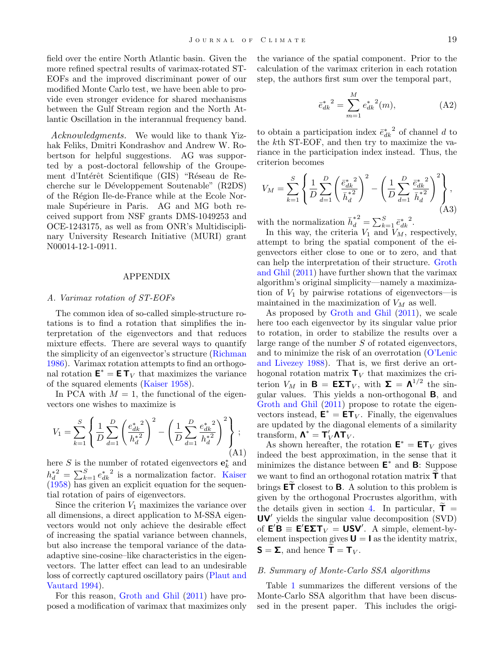field over the entire North Atlantic basin. Given the more refined spectral results of varimax-rotated ST-EOFs and the improved discriminant power of our modified Monte Carlo test, we have been able to provide even stronger evidence for shared mechanisms between the Gulf Stream region and the North Atlantic Oscillation in the interannual frequency band.

Acknowledgments. We would like to thank Yizhak Feliks, Dmitri Kondrashov and Andrew W. Robertson for helpful suggestions. AG was supported by a post-doctoral fellowship of the Groupement d'Intérêt Scientifique (GIS) "Réseau de Recherche sur le Développement Soutenable" (R2DS) of the R´egion Ile-de-France while at the Ecole Normale Supérieure in Paris. AG and MG both received support from NSF grants DMS-1049253 and OCE-1243175, as well as from ONR's Multidisciplinary University Research Initiative (MURI) grant N00014-12-1-0911.

#### APPENDIX

#### A. Varimax rotation of ST-EOFs

The common idea of so-called simple-structure rotations is to find a rotation that simplifies the interpretation of the eigenvectors and that reduces mixture effects. There are several ways to quantify the simplicity of an eigenvector's structure [\(Richman](#page-21-17) [1986\)](#page-21-17). Varimax rotation attempts to find an orthogonal rotation  $\mathbf{E}^* = \mathbf{E} \mathbf{T}_V$  that maximizes the variance of the squared elements [\(Kaiser](#page-21-19) [1958\)](#page-21-19).

In PCA with  $M = 1$ , the functional of the eigenvectors one wishes to maximize is

$$
V_1 = \sum_{k=1}^{S} \left\{ \frac{1}{D} \sum_{d=1}^{D} \left( \frac{e_{dk}^*}{h_d^*} \right)^2 - \left( \frac{1}{D} \sum_{d=1}^{D} \frac{e_{dk}^*}{h_d^*} \right)^2 \right\};
$$
\n(A1)

here S is the number of rotated eigenvectors  $\mathbf{e}_k^*$  and  $h_d^{\ast^2} = \sum_{k=1}^S e_{dk}^{\ast^2}$  is a normalization factor. [Kaiser](#page-21-19) [\(1958\)](#page-21-19) has given an explicit equation for the sequential rotation of pairs of eigenvectors.

Since the criterion  $V_1$  maximizes the variance over all dimensions, a direct application to M-SSA eigenvectors would not only achieve the desirable effect of increasing the spatial variance between channels, but also increase the temporal variance of the dataadaptive sine-cosine–like characteristics in the eigenvectors. The latter effect can lead to an undesirable loss of correctly captured oscillatory pairs [\(Plaut and](#page-21-14) [Vautard](#page-21-14) [1994\)](#page-21-14).

For this reason, [Groth and Ghil](#page-21-10) [\(2011\)](#page-21-10) have proposed a modification of varimax that maximizes only the variance of the spatial component. Prior to the calculation of the varimax criterion in each rotation step, the authors first sum over the temporal part,

$$
\bar{e}_{dk}^*{}^2 = \sum_{m=1}^M e_{dk}^*{}^2(m),\tag{A2}
$$

to obtain a participation index  $\bar{e}_{dk}^*$  of channel d to the kth ST-EOF, and then try to maximize the variance in the participation index instead. Thus, the criterion becomes

$$
V_M = \sum_{k=1}^{S} \left\{ \frac{1}{D} \sum_{d=1}^{D} \left( \frac{\bar{e}_{dk}^{* \ 2}}{\bar{h}_d^{*2}} \right)^2 - \left( \frac{1}{D} \sum_{d=1}^{D} \frac{\bar{e}_{dk}^{* \ 2}}{\bar{h}_d^{*2}} \right)^2 \right\},\tag{A3}
$$

with the normalization  $\bar{h}^*_{\bar{d}}$ d  $^2 = \sum_{k=1}^S \bar{e}_{dk}^*^2.$ 

In this way, the criteria  $V_1$  and  $V_M$ , respectively, attempt to bring the spatial component of the eigenvectors either close to one or to zero, and that can help the interpretation of their structure. [Groth](#page-21-10) [and Ghil](#page-21-10) [\(2011\)](#page-21-10) have further shown that the varimax algorithm's original simplicity—namely a maximization of  $V_1$  by pairwise rotations of eigenvectors—is maintained in the maximization of  $V_M$  as well.

As proposed by [Groth and Ghil](#page-21-10) [\(2011\)](#page-21-10), we scale here too each eigenvector by its singular value prior to rotation, in order to stabilize the results over a large range of the number S of rotated eigenvectors, and to minimize the risk of an overrotation [\(O'Lenic](#page-21-30) [and Livezey](#page-21-30) [1988\)](#page-21-30). That is, we first derive an orthogonal rotation matrix  $\mathbf{T}_V$  that maximizes the criterion  $V_M$  in  $\mathbf{B} = \mathbf{E} \Sigma \mathbf{T}_V$ , with  $\Sigma = \mathbf{\Lambda}^{1/2}$  the singular values. This yields a non-orthogonal B, and [Groth and Ghil](#page-21-10) [\(2011\)](#page-21-10) propose to rotate the eigenvectors instead,  $\mathbf{\dot{E}}^* = \mathbf{\dot{E}} \mathbf{\dot{T}}_V$ . Finally, the eigenvalues are updated by the diagonal elements of a similarity transform,  $\mathbf{\Lambda}^* = \mathbf{T}_V' \mathbf{\Lambda} \mathbf{T}_V$ .

As shown hereafter, the rotation  $\mathbf{E}^* = \mathbf{E} \mathbf{T}_V$  gives indeed the best approximation, in the sense that it minimizes the distance between  $E^*$  and  $B$ : Suppose we want to find an orthogonal rotation matrix  $\mathsf{T}$  that brings  $\mathsf{ET}$  closest to **B**. A solution to this problem is given by the orthogonal Procrustes algorithm, with the details given in section [4.](#page-5-0) In particular,  $\mathbf{T} =$ UV' yields the singular value decomposition (SVD) of  $E'B \equiv E'E\Sigma T_V = USV'$ . A simple, element-byelement inspection gives  $U = I$  as the identity matrix,  $S = \Sigma$ , and hence  $T = T_V$ .

#### B. Summary of Monte-Carlo SSA algorithms

Table [1](#page-20-13) summarizes the different versions of the Monte-Carlo SSA algorithm that have been discussed in the present paper. This includes the origi-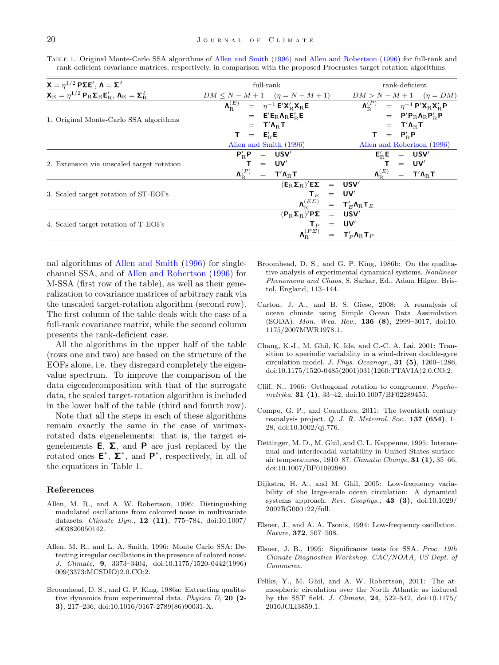| $X = η^{1/2} P\Sigma E'$ , $Λ = Σ^2$                                                                                                                                                       | $full$ -rank                                                                                                                                           | rank-deficient                                                    |
|--------------------------------------------------------------------------------------------------------------------------------------------------------------------------------------------|--------------------------------------------------------------------------------------------------------------------------------------------------------|-------------------------------------------------------------------|
| $\mathbf{X}_{\mathrm{R}} = \eta^{1/2} \, \mathbf{P}_{\mathrm{R}} \mathbf{\Sigma}_{\mathrm{R}} \mathbf{E}'_{\mathrm{R}}, \, \mathbf{\Lambda}_{\mathrm{R}} = \mathbf{\Sigma}_{\mathrm{R}}^2$ | $DM \le N - M + 1$ $(\eta = N - M + 1)$                                                                                                                | $DM > N - M + 1$ $(\eta = DM)$                                    |
| 1. Original Monte-Carlo SSA algorithms                                                                                                                                                     | $\mathbf{\Lambda}_{\mathbf{B}}^{(E)} = \eta^{-1} \mathbf{E}' \mathbf{X}_{\mathbf{B}}' \mathbf{X}_{\mathbf{R}} \mathbf{E}$                              | $\Lambda_{\rm B}^{(P)} = \eta^{-1} P' X_{\rm R} X_{\rm B}' P$     |
|                                                                                                                                                                                            | $=$ $E'E_R\Lambda_R E'_R E$                                                                                                                            | $=$ $P'P_R\Lambda_RP'_RP$                                         |
|                                                                                                                                                                                            | $=$ $T' \Lambda_{\rm B} T$                                                                                                                             | $=$ $T'$ $\Lambda_{\rm B}$ $T$                                    |
|                                                                                                                                                                                            | $T = E'_{\rm B}E$                                                                                                                                      | $T = P_{\rm B}^{\prime} P$                                        |
|                                                                                                                                                                                            | Allen and Smith (1996)                                                                                                                                 | Allen and Robertson (1996)                                        |
| 2. Extension via unscaled target rotation                                                                                                                                                  | $P'_{\rm p}P = USV'$                                                                                                                                   | $E'_{\rm B}E = USV'$                                              |
|                                                                                                                                                                                            | $=$ UV'                                                                                                                                                | $=$ UV'                                                           |
|                                                                                                                                                                                            | $\boldsymbol{\Lambda}_{\rm B}^{(P)}$<br>$=$ $T' \Lambda_{\rm B} T$                                                                                     | $\bm{\Lambda}_{\text{B}}^{(E)}$<br>$=$ $T'$ $\Lambda_{\rm R}$ $T$ |
| 3. Scaled target rotation of ST-EOFs                                                                                                                                                       | $(\textbf{E}_\mathrm{R} \boldsymbol{\Sigma}_\mathrm{R})' \textbf{E} \boldsymbol{\Sigma} \quad = \quad \textbf{USV}'$                                   |                                                                   |
|                                                                                                                                                                                            | $T_E$ = UV'                                                                                                                                            |                                                                   |
|                                                                                                                                                                                            | $\pmb{\Lambda}_{\rm\scriptscriptstyle R}^{\left(E\varSigma\right)}\quad =\quad \pmb{\mathsf{T}}_{E}^{\prime}\pmb{\Lambda}_{\rm R}\pmb{\mathsf{T}}_{E}$ |                                                                   |
| 4. Scaled target rotation of T-EOFs                                                                                                                                                        | $(P_{\rm B} \Sigma_{\rm B})'$ P $\Sigma$ = USV'                                                                                                        |                                                                   |
|                                                                                                                                                                                            | $T_P = UV'$                                                                                                                                            |                                                                   |
|                                                                                                                                                                                            | $\Lambda_{\rm B}^{(P\varSigma)}$                                                                                                                       | $=$ $T'_P \Lambda_R T_P$                                          |

<span id="page-20-13"></span>Table 1. Original Monte-Carlo SSA algorithms of [Allen and Smith](#page-20-2) [\(1996\)](#page-20-2) and [Allen and Robertson](#page-20-3) [\(1996\)](#page-20-3) for full-rank and rank-deficient covariance matrices, respectively, in comparison with the proposed Procrustes target rotation algorithms.

nal algorithms of [Allen and Smith](#page-20-2) [\(1996\)](#page-20-2) for singlechannel SSA, and of [Allen and Robertson](#page-20-3) [\(1996\)](#page-20-3) for M-SSA (first row of the table), as well as their generalization to covariance matrices of arbitrary rank via the unscaled target-rotation algorithm (second row). The first column of the table deals with the case of a full-rank covariance matrix, while the second column presents the rank-deficient case.

All the algorithms in the upper half of the table (rows one and two) are based on the structure of the EOFs alone, i.e. they disregard completely the eigenvalue spectrum. To improve the comparison of the data eigendecomposition with that of the surrogate data, the scaled target-rotation algorithm is included in the lower half of the table (third and fourth row).

Note that all the steps in each of these algorithms remain exactly the same in the case of varimaxrotated data eigenelements: that is, the target eigenelements **E**,  $\Sigma$ , and **P** are just replaced by the rotated ones  $\mathsf{E}^*, \Sigma^*,$  and  $\mathsf{P}^*,$  respectively, in all of the equations in Table [1.](#page-20-13)

#### References

- <span id="page-20-3"></span>Allen, M. R., and A. W. Robertson, 1996: Distinguishing modulated oscillations from coloured noise in multivariate datasets. Climate Dyn., 12 (11), 775–784, doi:10.1007/ s003820050142.
- <span id="page-20-2"></span>Allen, M. R., and L. A. Smith, 1996: Monte Carlo SSA: Detecting irregular oscillations in the presence of colored noise. J. Climate, 9, 3373–3404, doi:10.1175/1520-0442(1996) 009/3373:MCSDIO)2.0.CO;2.
- <span id="page-20-0"></span>Broomhead, D. S., and G. P. King, 1986a: Extracting qualitative dynamics from experimental data. Physica D, 20 (2- 3), 217–236, doi:10.1016/0167-2789(86)90031-X.
- <span id="page-20-1"></span>Broomhead, D. S., and G. P. King, 1986b: On the qualitative analysis of experimental dynamical systems. Nonlinear Phenomena and Chaos, S. Sarkar, Ed., Adam Hilger, Bristol, England, 113–144.
- <span id="page-20-4"></span>Carton, J. A., and B. S. Giese, 2008: A reanalysis of ocean climate using Simple Ocean Data Assimilation (SODA). Mon. Wea. Rev., 136 (8), 2999–3017, doi:10. 1175/2007MWR1978.1.
- <span id="page-20-11"></span>Chang, K.-I., M. Ghil, K. Ide, and C.-C. A. Lai, 2001: Transition to aperiodic variability in a wind-driven double-gyre circulation model. J. Phys. Oceanogr., 31 (5), 1260–1286, doi:10.1175/1520-0485(2001)031(1260:TTAVIA)2.0.CO;2.
- <span id="page-20-9"></span>Cliff, N., 1966: Orthogonal rotation to congruence. Psychometrika, 31 (1), 33–42, doi:10.1007/BF02289455.
- <span id="page-20-5"></span>Compo, G. P., and Coauthors, 2011: The twentieth century reanalysis project.  $Q.$  J. R. Meteorol. Soc., **137** (654), 1– 28, doi:10.1002/qj.776.
- <span id="page-20-10"></span>Dettinger, M. D., M. Ghil, and C. L. Keppenne, 1995: Interannual and interdecadal variability in United States surfaceair temperatures, 1910–87. Climatic Change, 31  $(1)$ , 35–66, doi:10.1007/BF01092980.
- <span id="page-20-12"></span>Dijkstra, H. A., and M. Ghil, 2005: Low-frequency variability of the large-scale ocean circulation: A dynamical systems approach. Rev. Geophys.,  $43$  (3), doi:10.1029/ 2002RG000122/full.
- <span id="page-20-7"></span>Elsner, J., and A. A. Tsonis, 1994: Low-frequency oscillation. Nature, 372, 507–508.
- <span id="page-20-8"></span>Elsner, J. B., 1995: Significance tests for SSA. Proc. 19th Climate Diagnostics Workshop. CAC/NOAA, US Dept. of Commerce.
- <span id="page-20-6"></span>Feliks, Y., M. Ghil, and A. W. Robertson, 2011: The atmospheric circulation over the North Atlantic as induced by the SST field. J. Climate, 24, 522–542, doi:10.1175/ 2010JCLI3859.1.